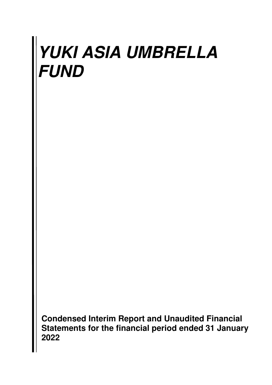**Condensed Interim Report and Unaudited Financial Statements for the financial period ended 31 January 2022**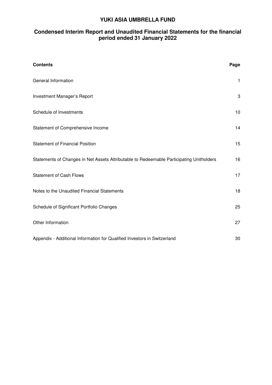# **Condensed Interim Report and Unaudited Financial Statements for the financial period ended 31 January 2022**

| <b>Contents</b>                                                                          | Page         |
|------------------------------------------------------------------------------------------|--------------|
| General Information                                                                      | $\mathbf{1}$ |
| Investment Manager's Report                                                              | 3            |
| Schedule of Investments                                                                  | 10           |
| Statement of Comprehensive Income                                                        | 14           |
| <b>Statement of Financial Position</b>                                                   | 15           |
| Statements of Changes in Net Assets Attributable to Redeemable Participating Unitholders | 16           |
| <b>Statement of Cash Flows</b>                                                           | 17           |
| Notes to the Unaudited Financial Statements                                              | 18           |
| Schedule of Significant Portfolio Changes                                                | 25           |
| Other Information                                                                        | 27           |
| Appendix - Additional Information for Qualified Investors in Switzerland                 | 30           |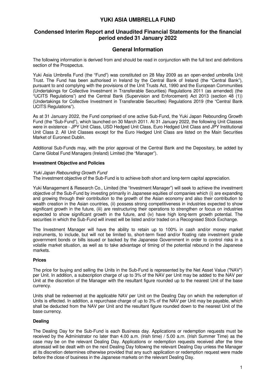# **Condensed Interim Report and Unaudited Financial Statements for the financial period ended 31 January 2022**

# **General Information**

The following information is derived from and should be read in conjunction with the full text and definitions section of the Prospectus.

Yuki Asia Umbrella Fund (the "Fund") was constituted on 28 May 2009 as an open-ended umbrella Unit Trust. The Fund has been authorised in Ireland by the Central Bank of Ireland (the "Central Bank"), pursuant to and complying with the provisions of the Unit Trusts Act, 1990 and the European Communities (Undertakings for Collective Investment in Transferable Securities) Regulations 2011 (as amended) (the "UCITS Regulations") and the Central Bank (Supervision and Enforcement) Act 2013 (section 48 (1)) (Undertakings for Collective Investment in Transferable Securities) Regulations 2019 (the "Central Bank UCITS Regulations").

As at 31 January 2022, the Fund comprised of one active Sub-Fund, the Yuki Japan Rebounding Growth Fund (the "Sub-Fund"), which launched on 30 March 2011. At 31 January 2022, the following Unit Classes were in existence - JPY Unit Class, USD Hedged Unit Class, Euro Hedged Unit Class and JPY Institutional Unit Class 2. All Unit Classes except for the Euro Hedged Unit Class are listed on the Main Securities Market of Euronext Dublin.

Additional Sub-Funds may, with the prior approval of the Central Bank and the Depositary, be added by Carne Global Fund Managers (Ireland) Limited (the "Manager").

#### **Investment Objective and Policies**

#### Yuki Japan Rebounding Growth Fund

The investment objective of the Sub-Fund is to achieve both short and long-term capital appreciation.

Yuki Management & Research Co., Limited (the "Investment Manager") will seek to achieve the investment objective of the Sub-Fund by investing primarily in Japanese equities of companies which (i) are expanding and growing through their contribution to the growth of the Asian economy and also their contribution to wealth creation in the Asian countries, (ii) possess strong competitiveness in industries expected to show significant growth in the future, (iii) are restructuring their operations to strengthen or focus on industries expected to show significant growth in the future, and (iv) have high long-term growth potential. The securities in which the Sub-Fund will invest will be listed and/or traded on a Recognised Stock Exchange.

The Investment Manager will have the ability to retain up to 100% in cash and/or money market instruments, to include, but will not be limited to, short-term fixed and/or floating rate investment grade government bonds or bills issued or backed by the Japanese Government in order to control risks in a volatile market situation, as well as to take advantage of timing of the potential rebound in the Japanese markets.

#### **Prices**

The price for buying and selling the Units in the Sub-Fund is represented by the Net Asset Value ("NAV") per Unit. In addition, a subscription charge of up to 3% of the NAV per Unit may be added to the NAV per Unit at the discretion of the Manager with the resultant figure rounded up to the nearest Unit of the base currency.

Units shall be redeemed at the applicable NAV per Unit on the Dealing Day on which the redemption of Units is effected. In addition, a repurchase charge of up to 3% of the NAV per Unit may be payable, which shall be deducted from the NAV per Unit and the resultant figure rounded down to the nearest Unit of the base currency.

#### **Dealing**

The Dealing Day for the Sub-Fund is each Business day. Applications or redemption requests must be received by the Administrator no later than 4.00 a.m. (Irish time) / 5.00 a.m. (Irish Summer Time) as the case may be on the relevant Dealing Day. Applications or redemption requests received after the time aforesaid will be dealt with on the next Dealing Day following the relevant Dealing Day unless the Manager at its discretion determines otherwise provided that any such application or redemption request were made before the close of business in the Japanese markets on the relevant Dealing Day.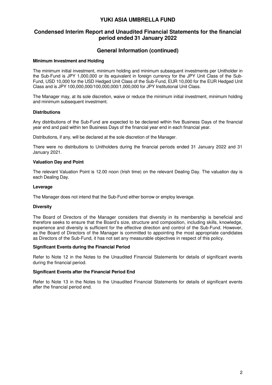# **Condensed Interim Report and Unaudited Financial Statements for the financial period ended 31 January 2022**

# **General Information (continued)**

#### **Minimum Investment and Holding**

The minimum initial investment, minimum holding and minimum subsequent investments per Unitholder in the Sub-Fund is JPY 1,000,000 or its equivalent in foreign currency for the JPY Unit Class of the Sub-Fund, USD 10,000 for the USD Hedged Unit Class of the Sub-Fund, EUR 10,000 for the EUR Hedged Unit Class and is JPY 100,000,000/100,000,000/1,000,000 for JPY Institutional Unit Class.

The Manager may, at its sole discretion, waive or reduce the minimum initial investment, minimum holding and minimum subsequent investment.

#### **Distributions**

Any distributions of the Sub-Fund are expected to be declared within five Business Days of the financial year end and paid within ten Business Days of the financial year end in each financial year.

Distributions, if any, will be declared at the sole discretion of the Manager.

There were no distributions to Unitholders during the financial periods ended 31 January 2022 and 31 January 2021.

#### **Valuation Day and Point**

The relevant Valuation Point is 12.00 noon (Irish time) on the relevant Dealing Day. The valuation day is each Dealing Day.

#### **Leverage**

The Manager does not intend that the Sub-Fund either borrow or employ leverage.

#### **Diversity**

The Board of Directors of the Manager considers that diversity in its membership is beneficial and therefore seeks to ensure that the Board's size, structure and composition, including skills, knowledge, experience and diversity is sufficient for the effective direction and control of the Sub-Fund. However, as the Board of Directors of the Manager is committed to appointing the most appropriate candidates as Directors of the Sub-Fund, it has not set any measurable objectives in respect of this policy.

#### **Significant Events during the Financial Period**

Refer to Note 12 in the Notes to the Unaudited Financial Statements for details of significant events during the financial period.

#### **Significant Events after the Financial Period End**

Refer to Note 13 in the Notes to the Unaudited Financial Statements for details of significant events after the financial period end.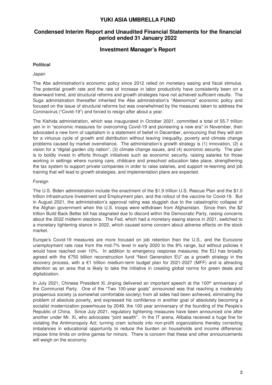# **Condensed Interim Report and Unaudited Financial Statements for the financial period ended 31 January 2022**

## **Investment Manager's Report**

#### **Political**

#### Japan

The Abe administration's economic policy since 2012 relied on monetary easing and fiscal stimulus. The potential growth rate and the rate of increase in labor productivity have consistently been on a downward trend, and structural reforms and growth strategies have not achieved sufficient results. The Suga administration thereafter inherited the Abe administration's "Abenomics" economic policy and focused on the issue of structural reforms but was overwhelmed by the measures taken to address the Coronavirus ("Covid-19") and forced to resign after about a year.

The Kishida administration, which was inaugurated in October 2021, committed a total of 55.7 trillion yen in in "economic measures for overcoming Covid-19 and pioneering a new era" in November, then advocated a new form of capitalism in a statement of belief in December, announcing that they will aim for a virtuous cycle of growth and distribution without leaving inequality, poverty and climate change problems caused by market overreliance. The administration's growth strategy is (1) innovation, (2) a vision for a "digital garden city nation", (3) climate change issues, and (4) economic security. The plan is to boldly invest in efforts through initiatives such as economic security, raising salaries for those working in settings where nursing care, childcare and preschool education take place, strengthening the tax system to support private companies in order to raise salaries, and support re-learning and job training that will lead to growth strategies, and implementation plans are expected.

#### Foreign

The U.S. Biden administration include the enactment of the \$1.9 trillion U.S. Rescue Plan and the \$1.0 trillion Infrastructure Investment and Employment plan, and the rollout of the vaccine for Covid-19. But in August 2021, the administration's approval rating was sluggish due to the catastrophic collapse of the Afghan government when the U.S. troops were withdrawn from Afghanistan. Since then, the \$2 trillion Build Back Better bill has stagnated due to discord within the Democratic Party, raising concerns about the 2022 midterm elections. The Fed, which had a monetary easing stance in 2021, switched to a monetary tightening stance in 2022, which caused some concern about adverse effects on the stock market.

Europe's Covid-19 measures are more focused on job retention than the U.S., and the Eurozone unemployment rate rose from the mid-7% level in early 2020 to the 8% range, but without policies it would have reached over 10%. In addition to emergency response measures, the EU has broadly agreed with the €750 billion reconstruction fund "Next Generation EU" as a growth strategy in the recovery process, with a €1 trillion medium-term budget plan for 2021-2027 (MFF) and is attracting attention as an area that is likely to take the initiative in creating global norms for green deals and digitalization.

In July 2021, Chinese President Xi Jinping delivered an important speech at the 100<sup>th</sup> anniversary of the Communist Party. One of the "Two 100-year goals" announced was that reaching a moderately prosperous society (a somewhat comfortable society) from all sides had been achieved, eliminating the problem of absolute poverty, and expressed his confidence in another goal of absolutely becoming a socialist modernization powerhouse by 2049, the 100 year anniversary of the founding of the People's Republic of China. Since July 2021, regulatory tightening measures have been announced one after another under Mr. Xi, who advocates "joint wealth". In the IT arena, Alibaba received a huge fine for violating the Antimonopoly Act; turning cram schools into non-profit organizations thereby correcting imbalances in educational opportunity to reduce the burden on households and income difference; impose time limits on online games for minors. There is concern that these and other announcements will weigh on the economy.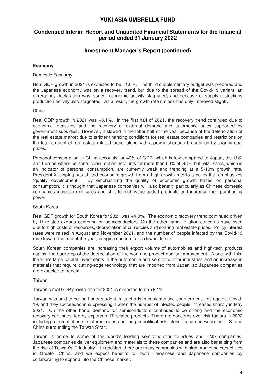# **Condensed Interim Report and Unaudited Financial Statements for the financial period ended 31 January 2022**

# **Investment Manager's Report (continued)**

#### **Economy**

#### Domestic Economy

Real GDP growth in 2021 is expected to be +1.6%. The third supplementary budget was prepared and the Japanese economy was on a recovery trend, but due to the spread of the Covid-19 variant, an emergency declaration was issued, economic activity stagnated, and because of supply restrictions production activity also stagnated. As a result, the growth rate outlook has only improved slightly.

#### China

Real GDP growth in 2021 was +8.1%. In the first half of 2021, the recovery trend continued due to economic measures and the recovery of external demand and automobile sales supported by government subsidies. However, it slowed in the latter half of the year because of the deterioration of the real estate market due to stricter financing conditions for real estate companies and restrictions on the total amount of real estate-related loans, along with a power shortage brought on by soaring coal prices.

Personal consumption in China accounts for 40% of GDP, which is low compared to Japan, the U.S. and Europe where personal consumption accounts for more than 60% of GDP, but retail sales, which is an indicator of personal consumption, are currently weak and trending at a 5-10% growth rate. President Xi Jinping has shifted economic growth from a high growth rate to a policy that emphasizes "quality development." By emphasizing the quality of economic growth based on personal consumption, it is thought that Japanese companies will also benefit particularly as Chinese domestic companies increase unit sales and shift to high-value-added products and increase their purchasing power.

#### South Korea

Real GDP growth for South Korea for 2021 was +4.0%. The economic recovery trend continued driven by IT-related exports centering on semiconductors. On the other hand, inflation concerns have risen due to high costs of resources, depreciation of currencies and soaring real estate prices. Policy interest rates were raised in August and November 2021, and the number of people infected by the Covid-19 rose toward the end of the year, bringing concern for a downside risk.

South Korean companies are increasing their export volume of automobiles and high-tech products against the backdrop of the depreciation of the won and product quality improvement. Along with this, there are large capital investments in the automobile and semiconductor industries and an increase in materials that require cutting-edge technology that are imported from Japan, so Japanese companies are expected to benefit.

#### Taiwan

Taiwan's real GDP growth rate for 2021 is expected to be +6.1%.

Taiwan was said to be the honor student in its efforts in implementing countermeasures against Covid-19, and they succeeded in suppressing it when the number of infected people increased sharply in May 2021. On the other hand, demand for semiconductors continues to be strong and the economic recovery continues, led by exports of IT-related products. There are concerns over risk factors in 2022 including a potential rise in interest rates and the geopolitical risk intensification between the U.S. and China surrounding the Taiwan Strait.

Taiwan is home to some of the world's leading semiconductor foundries and EMS companies. Japanese companies deliver equipment and materials to these companies and are also benefitting from the rise of Taiwan's IT industry. In addition, there are many companies with high marketing capabilities in Greater China, and we expect benefits for both Taiwanese and Japanese companies by collaborating to expand into the Chinese market.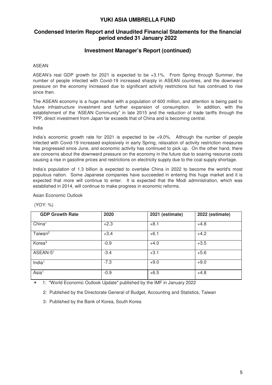# **Condensed Interim Report and Unaudited Financial Statements for the financial period ended 31 January 2022**

# **Investment Manager's Report (continued)**

#### ASEAN

ASEAN's real GDP growth for 2021 is expected to be +3.1%. From Spring through Summer, the number of people infected with Covid-19 increased sharply in ASEAN countries, and the downward pressure on the economy increased due to significant activity restrictions but has continued to rise since then.

The ASEAN economy is a huge market with a population of 600 million, and attention is being paid to future infrastructure investment and further expansion of consumption. In addition, with the establishment of the 'ASEAN Community" in late 2015 and the reduction of trade tariffs through the TPP, direct investment from Japan far exceeds that of China and is becoming central.

#### India

India's economic growth rate for 2021 is expected to be +9.0%. Although the number of people infected with Covid-19 increased explosively in early Spring, relaxation of activity restriction measures has progressed since June, and economic activity has continued to pick up. On the other hand, there are concerns about the downward pressure on the economy in the future due to soaring resource costs causing a rise in gasoline prices and restrictions on electricity supply due to the coal supply shortage.

India's population of 1.3 billion is expected to overtake China in 2022 to become the world's most populous nation. Some Japanese companies have succeeded in entering this huge market and it is expected that more will continue to enter. It is expected that the Modi administration, which was established in 2014, will continue to make progress in economic reforms.

Asian Economic Outlook

(YOY: %)

| <b>GDP Growth Rate</b> | 2020   | 2021 (estimate) | 2022 (estimate) |
|------------------------|--------|-----------------|-----------------|
| China <sup>1</sup>     | $+2.3$ | $+8.1$          | $+4.8$          |
| Taiwan <sup>2</sup>    | $+3.4$ | $+6.1$          | $+4.2$          |
| Korea <sup>3</sup>     | $-0.9$ | $+4.0$          | $+3.5$          |
| ASEAN-51               | $-3.4$ | $+3.1$          | $+5.6$          |
| India <sup>1</sup>     | $-7.3$ | $+9.0$          | $+9.0$          |
| Asia <sup>1</sup>      | $-0.9$ | $+6.5$          | $+4.8$          |

\* 1: "World Economic Outlook Update" published by the IMF in January 2022

2: Published by the Directorate General of Budget, Accounting and Statistics, Taiwan

3: Published by the Bank of Korea, South Korea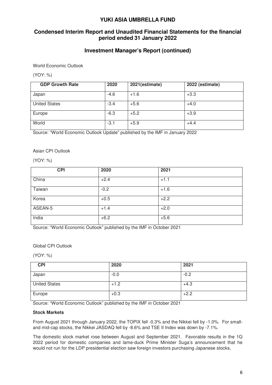# **Condensed Interim Report and Unaudited Financial Statements for the financial period ended 31 January 2022**

# **Investment Manager's Report (continued)**

World Economic Outlook

(YOY: %)

| <b>GDP Growth Rate</b> | 2020   | 2021(estimate) | 2022 (estimate) |
|------------------------|--------|----------------|-----------------|
| Japan                  | $-4.6$ | $+1.6$         | $+3.3$          |
| <b>United States</b>   | $-3.4$ | $+5.6$         | $+4.0$          |
| Europe                 | $-6.3$ | $+5.2$         | $+3.9$          |
| World                  | $-3.1$ | $+5.9$         | $+4.4$          |

Source: "World Economic Outlook Update" published by the IMF in January 2022

#### Asian CPI Outlook

(YOY: %)

| <b>CPI</b> | 2020   | 2021   |
|------------|--------|--------|
| China      | $+2.4$ | $+1.1$ |
| Taiwan     | $-0.2$ | $+1.6$ |
| Korea      | $+0.5$ | $+2.2$ |
| ASEAN-5    | $+1.4$ | $+2.0$ |
| India      | $+6.2$ | $+5.6$ |

Source: "World Economic Outlook" published by the IMF in October 2021

Global CPI Outlook

(YOY: %)

| <b>CPI</b>           | 2020   | 2021   |
|----------------------|--------|--------|
| Japan                | $-0.0$ | $-0.2$ |
| <b>United States</b> | $+1.2$ | $+4.3$ |
| Europe               | $+0.3$ | $+2.2$ |

Source: "World Economic Outlook" published by the IMF in October 2021

#### **Stock Markets**

From August 2021 through January 2022, the TOPIX fell -0.3% and the Nikkei fell by -1.0%. For smalland mid-cap stocks, the Nikkei JASDAQ fell by -8.6% and TSE II Index was down by -7.1%.

The domestic stock market rose between August and September 2021. Favorable results in the 1Q 2022 period for domestic companies and lame-duck Prime Minister Suga's announcement that he would not run for the LDP presidential election saw foreign investors purchasing Japanese stocks,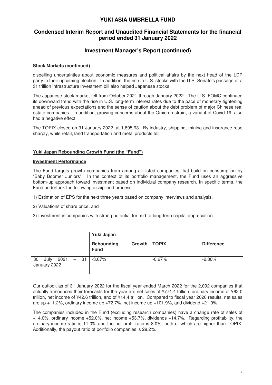# **Condensed Interim Report and Unaudited Financial Statements for the financial period ended 31 January 2022**

# **Investment Manager's Report (continued)**

#### **Stock Markets (continued)**

dispelling uncertainties about economic measures and political affairs by the next head of the LDP party in their upcoming election. In addition, the rise in U.S. stocks with the U.S. Senate's passage of a \$1 trillion infrastructure investment bill also helped Japanese stocks.

The Japanese stock market fell from October 2021 through January 2022. The U.S. FOMC continued its downward trend with the rise in U.S. long-term interest rates due to the pace of monetary tightening ahead of previous expectations and the sense of caution about the debt problem of major Chinese real estate companies. In addition, growing concerns about the Omicron strain, a variant of Covid-19, also had a negative effect.

The TOPIX closed on 31 January 2022, at 1,895.93. By industry, shipping, mining and insurance rose sharply, while retail, land transportation and metal products fell.

#### **Yuki Japan Rebounding Growth Fund (the "Fund")**

#### **Investment Performance**

The Fund targets growth companies from among all listed companies that build on consumption by "Baby Boomer Juniors". In the context of its portfolio management, the Fund uses an aggressive bottom-up approach toward investment based on individual company research. In specific terms, the Fund undertook the following disciplined process:

- 1) Estimation of EPS for the next three years based on company interviews and analysis,
- 2) Valuations of share price, and
- 3) Investment in companies with strong potential for mid-to-long-term capital appreciation.

|                                           | Yuki Japan                                  |          |                   |
|-------------------------------------------|---------------------------------------------|----------|-------------------|
|                                           | Growth   TOPIX<br>Rebounding<br><b>Fund</b> |          | <b>Difference</b> |
| 30<br>$2021 - 31$<br>July<br>January 2022 | $-3.07\%$                                   | $-0.27%$ | $-2.80%$          |

Our outlook as of 31 January 2022 for the fiscal year ended March 2022 for the 2,092 companies that actually announced their forecasts for the year are net sales of ¥771.4 trillion, ordinary income of ¥62.0 trillion, net income of ¥42.6 trillion, and of ¥14.4 trillion. Compared to fiscal year 2020 results, net sales are up  $+11.2\%$ , ordinary income up  $+72.7\%$ , net income up  $+101.9\%$ , and dividend  $+21.0\%$ .

The companies included in the Fund (excluding research companies) have a change rate of sales of +14.0%, ordinary income +52.0%, net income +53.7%, dividends +14.7%. Regarding profitability, the ordinary income ratio is 11.0% and the net profit ratio is 8.0%, both of which are higher than TOPIX. Additionally, the payout ratio of portfolio companies is 29.2%.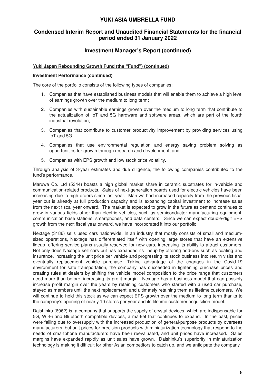# **Condensed Interim Report and Unaudited Financial Statements for the financial period ended 31 January 2022**

# **Investment Manager's Report (continued)**

#### **Yuki Japan Rebounding Growth Fund (the "Fund") (continued)**

#### **Investment Performance (continued)**

The core of the portfolio consists of the following types of companies:

- 1. Companies that have established business models that will enable them to achieve a high level of earnings growth over the medium to long term;
- 2. Companies with sustainable earnings growth over the medium to long term that contribute to the actualization of IoT and 5G hardware and software areas, which are part of the fourth industrial revolution;
- 3. Companies that contribute to customer productivity improvement by providing services using IoT and 5G;
- 4. Companies that use environmental regulation and energy saving problem solving as opportunities for growth through research and development; and
- 5. Companies with EPS growth and low stock price volatility.

Through analysis of 3-year estimates and due diligence, the following companies contributed to the fund's performance.

Maruwa Co. Ltd (5344) boasts a high global market share in ceramic substrates for in-vehicle and communication-related products. Sales of next-generation boards used for electric vehicles have been increasing due to high orders since last year. Maruwa had increased capacity from the previous fiscal year but is already at full production capacity and is expanding capital investment to increase sales from the next fiscal year onward. The market is expected to grow in the future as demand continues to grow in various fields other than electric vehicles, such as semiconductor manufacturing equipment, communication base stations, smartphones, and data centers. Since we can expect double-digit EPS growth from the next fiscal year onward, we have incorporated it into our portfolio.

Nextage (3186) sells used cars nationwide. In an industry that mostly consists of small and mediumsized operations, Nextage has differentiated itself with opening large stores that have an extensive lineup, offering service plans usually reserved for new cars, increasing its ability to attract customers. Not only does Nextage sell cars but has expanded its lineup by offering add-ons such as coating and insurance, increasing the unit price per vehicle and progressing its stock business into return visits and eventually replacement vehicle purchase. Taking advantage of the changes in the Covid-19 environment for safe transportation, the company has succeeded in tightening purchase prices and creating rules at dealers by shifting the vehicle model composition to the price range that customers need more than before, increasing its profit margin. Nextage has a business model that can possibly increase profit margin over the years by retaining customers who started with a used car purchase, stayed as members until the next replacement, and ultimately retaining them as lifetime customers. We will continue to hold this stock as we can expect EPS growth over the medium to long term thanks to the company's opening of nearly 10 stores per year and its lifetime customer acquisition model.

Daishinku (6962) is, a company that supports the supply of crystal devices, which are indispensable for 5G, Wi-Fi and Bluetooth compatible devices, a market that continues to expand. In the past, prices were falling due to oversupply with the increased production of general-purpose products by overseas manufacturers, but unit prices for precision products with miniaturization technology that respond to the needs of smartphone manufacturers have been reevaluated, and unit prices have increased. Sales margins have expanded rapidly as unit sales have grown. Daishinku's superiority in miniaturization technology is making it difficult for other Asian competitors to catch up, and we anticipate the company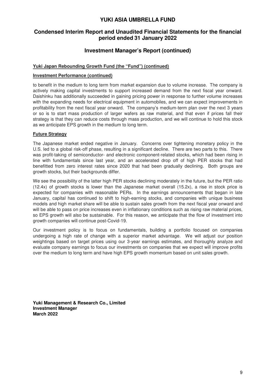# **Condensed Interim Report and Unaudited Financial Statements for the financial period ended 31 January 2022**

# **Investment Manager's Report (continued)**

#### **Yuki Japan Rebounding Growth Fund (the "Fund") (continued)**

#### **Investment Performance (continued)**

to benefit in the medium to long term from market expansion due to volume increase. The company is actively making capital investments to support increased demand from the next fiscal year onward. Daishinku has additionally succeeded in gaining pricing power in response to further volume increases with the expanding needs for electrical equipment in automobiles, and we can expect improvements in profitability from the next fiscal year onward. The company's medium-term plan over the next 3 years or so is to start mass production of larger wafers as raw material, and that even if prices fall their strategy is that they can reduce costs through mass production, and we will continue to hold this stock as we anticipate EPS growth in the medium to long term.

#### **Future Strategy**

The Japanese market ended negative in January. Concerns over tightening monetary policy in the U.S. led to a global risk-off phase, resulting in a significant decline. There are two parts to this. There was profit-taking of semiconductor- and electronic component-related stocks, which had been rising in line with fundamentals since last year, and an accelerated drop off of high PER stocks that had benefitted from zero interest rates since 2020 that had been gradually declining. Both groups are growth stocks, but their backgrounds differ.

We see the possibility of the latter high PER stocks declining moderately in the future, but the PER ratio (12.4x) of growth stocks is lower than the Japanese market overall (15.2x), a rise in stock price is expected for companies with reasonable PERs. In the earnings announcements that began in late January, capital has continued to shift to high-earning stocks, and companies with unique business models and high market share will be able to sustain sales growth from the next fiscal year onward and will be able to pass on price increases even in inflationary conditions such as rising raw material prices, so EPS growth will also be sustainable. For this reason, we anticipate that the flow of investment into growth companies will continue post-Covid-19.

Our investment policy is to focus on fundamentals, building a portfolio focused on companies undergoing a high rate of change with a superior market advantage. We will adjust our position weightings based on target prices using our 3-year earnings estimates, and thoroughly analyze and evaluate company earnings to focus our investments on companies that we expect will improve profits over the medium to long term and have high EPS growth momentum based on unit sales growth.

**Yuki Management & Research Co., Limited Investment Manager March 2022**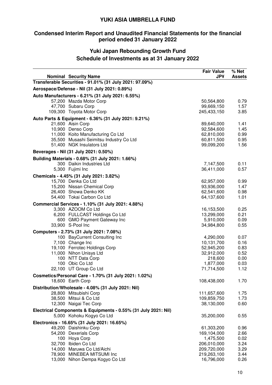# **Condensed Interim Report and Unaudited Financial Statements for the financial period ended 31 January 2022**

# **Yuki Japan Rebounding Growth Fund Schedule of Investments as at 31 January 2022**

| <b>Nominal Security Name</b><br>Transferable Securities - 91.01% (31 July 2021: 97.09%)<br>Aerospace/Defense - Nil (31 July 2021: 0.89%)<br>Auto Manufacturers - 6.21% (31 July 2021: 6.55%)<br>57,200 Mazda Motor Corp<br>50,564,800<br>0.79<br>47,700 Subaru Corp<br>99,669,150<br>1.57<br>109,300 Toyota Motor Corp<br>245,433,150<br>3.85<br>Auto Parts & Equipment - 6.36% (31 July 2021: 9.21%)<br>21,600 Aisin Corp<br>89,640,000<br>1.41<br>10,900 Denso Corp<br>92,584,600<br>1.45<br>11,000 Koito Manufacturing Co Ltd<br>62,810,000<br>0.99<br>35,500 Musashi Seimitsu Industry Co Ltd<br>60,811,500<br>0.95<br>51,400 NGK Insulators Ltd<br>99,099,200<br>1.56<br>Beverages - Nil (31 July 2021: 0.50%)<br>Building Materials - 0.68% (31 July 2021: 1.66%)<br>300 Daikin Industries Ltd<br>0.11<br>7,147,500<br>5,300 Fujimi Inc<br>36,411,000<br>0.57<br>Chemicals - 4.45% (31 July 2021: 3.82%)<br>15,700 Denka Co Ltd<br>62,957,000<br>0.99<br>15,200 Nissan Chemical Corp<br>93,936,000<br>1.47<br>26,400 Showa Denko KK<br>62,541,600<br>0.98<br>54,400 Tokai Carbon Co Ltd<br>64,137,600<br>1.01<br>Commercial Services - 1.10% (31 July 2021: 4.88%)<br>3,300 AZOOM Co Ltd<br>16,153,500<br>0.25<br>6,200 FULLCAST Holdings Co Ltd<br>13,299,000<br>0.21<br>600 GMO Payment Gateway Inc<br>5,910,000<br>0.09<br>33,900 S-Pool Inc<br>0.55<br>34,984,800<br>Computers - 2.73% (31 July 2021: 7.08%)<br>100 BayCurrent Consulting Inc<br>0.07<br>4,290,000<br>7,100 Change Inc<br>10,131,700<br>0.16<br>19,100 Ferrotec Holdings Corp<br>52,945,200<br>0.83<br>11,000 Nihon Unisys Ltd<br>32,912,000<br>0.52<br>100 NTT Data Corp<br>218,600<br>0.00<br>100 Obic Co Ltd<br>1,877,000<br>0.03<br>22,100 UT Group Co Ltd<br>71,714,500<br>1.12<br>Cosmetics/Personal Care - 1.70% (31 July 2021: 1.02%)<br>18,600 Earth Corp<br>108,438,000<br>1.70<br>Distribution/Wholesale - 4.08% (31 July 2021: Nil)<br>28,800 Mitsubishi Corp<br>111,657,600<br>1.75<br>38,500 Mitsui & Co Ltd<br>109,859,750<br>1.73<br>12,300 Naigai Tec Corp<br>38,130,000<br>0.60<br>Electrical Components & Equipments - 0.55% (31 July 2021: Nil)<br>5,000 Kohoku Kogyo Co Ltd<br>35,200,000<br>0.55<br>Electronics - 16.65% (31 July 2021: 16.65%)<br>49,200 Daishinku Corp<br>61,303,200<br>0.96<br>54,200 Dexerials Corp<br>169,104,000<br>2.66<br>100 Hoya Corp<br>1,475,500<br>0.02<br>32,700 Ibiden Co Ltd<br>206,010,000<br>3.24<br>14,000 Maruwa Co Ltd/Aichi<br>209,720,000<br>3.29<br>78,900 MINEBEA MITSUMI Inc<br>219,263,100<br>3.44 |                                 | <b>Fair Value</b><br><b>JP¥</b> | % Net<br><b>Assets</b> |
|-----------------------------------------------------------------------------------------------------------------------------------------------------------------------------------------------------------------------------------------------------------------------------------------------------------------------------------------------------------------------------------------------------------------------------------------------------------------------------------------------------------------------------------------------------------------------------------------------------------------------------------------------------------------------------------------------------------------------------------------------------------------------------------------------------------------------------------------------------------------------------------------------------------------------------------------------------------------------------------------------------------------------------------------------------------------------------------------------------------------------------------------------------------------------------------------------------------------------------------------------------------------------------------------------------------------------------------------------------------------------------------------------------------------------------------------------------------------------------------------------------------------------------------------------------------------------------------------------------------------------------------------------------------------------------------------------------------------------------------------------------------------------------------------------------------------------------------------------------------------------------------------------------------------------------------------------------------------------------------------------------------------------------------------------------------------------------------------------------------------------------------------------------------------------------------------------------------------------------------------------------------------------------------------------------------------------------------------------------------------------------------------------------------------------------------------------------------------------------------------------------------------------------------------------|---------------------------------|---------------------------------|------------------------|
|                                                                                                                                                                                                                                                                                                                                                                                                                                                                                                                                                                                                                                                                                                                                                                                                                                                                                                                                                                                                                                                                                                                                                                                                                                                                                                                                                                                                                                                                                                                                                                                                                                                                                                                                                                                                                                                                                                                                                                                                                                                                                                                                                                                                                                                                                                                                                                                                                                                                                                                                               |                                 |                                 |                        |
|                                                                                                                                                                                                                                                                                                                                                                                                                                                                                                                                                                                                                                                                                                                                                                                                                                                                                                                                                                                                                                                                                                                                                                                                                                                                                                                                                                                                                                                                                                                                                                                                                                                                                                                                                                                                                                                                                                                                                                                                                                                                                                                                                                                                                                                                                                                                                                                                                                                                                                                                               |                                 |                                 |                        |
|                                                                                                                                                                                                                                                                                                                                                                                                                                                                                                                                                                                                                                                                                                                                                                                                                                                                                                                                                                                                                                                                                                                                                                                                                                                                                                                                                                                                                                                                                                                                                                                                                                                                                                                                                                                                                                                                                                                                                                                                                                                                                                                                                                                                                                                                                                                                                                                                                                                                                                                                               |                                 |                                 |                        |
|                                                                                                                                                                                                                                                                                                                                                                                                                                                                                                                                                                                                                                                                                                                                                                                                                                                                                                                                                                                                                                                                                                                                                                                                                                                                                                                                                                                                                                                                                                                                                                                                                                                                                                                                                                                                                                                                                                                                                                                                                                                                                                                                                                                                                                                                                                                                                                                                                                                                                                                                               |                                 |                                 |                        |
|                                                                                                                                                                                                                                                                                                                                                                                                                                                                                                                                                                                                                                                                                                                                                                                                                                                                                                                                                                                                                                                                                                                                                                                                                                                                                                                                                                                                                                                                                                                                                                                                                                                                                                                                                                                                                                                                                                                                                                                                                                                                                                                                                                                                                                                                                                                                                                                                                                                                                                                                               |                                 |                                 |                        |
|                                                                                                                                                                                                                                                                                                                                                                                                                                                                                                                                                                                                                                                                                                                                                                                                                                                                                                                                                                                                                                                                                                                                                                                                                                                                                                                                                                                                                                                                                                                                                                                                                                                                                                                                                                                                                                                                                                                                                                                                                                                                                                                                                                                                                                                                                                                                                                                                                                                                                                                                               |                                 |                                 |                        |
|                                                                                                                                                                                                                                                                                                                                                                                                                                                                                                                                                                                                                                                                                                                                                                                                                                                                                                                                                                                                                                                                                                                                                                                                                                                                                                                                                                                                                                                                                                                                                                                                                                                                                                                                                                                                                                                                                                                                                                                                                                                                                                                                                                                                                                                                                                                                                                                                                                                                                                                                               |                                 |                                 |                        |
|                                                                                                                                                                                                                                                                                                                                                                                                                                                                                                                                                                                                                                                                                                                                                                                                                                                                                                                                                                                                                                                                                                                                                                                                                                                                                                                                                                                                                                                                                                                                                                                                                                                                                                                                                                                                                                                                                                                                                                                                                                                                                                                                                                                                                                                                                                                                                                                                                                                                                                                                               |                                 |                                 |                        |
|                                                                                                                                                                                                                                                                                                                                                                                                                                                                                                                                                                                                                                                                                                                                                                                                                                                                                                                                                                                                                                                                                                                                                                                                                                                                                                                                                                                                                                                                                                                                                                                                                                                                                                                                                                                                                                                                                                                                                                                                                                                                                                                                                                                                                                                                                                                                                                                                                                                                                                                                               |                                 |                                 |                        |
|                                                                                                                                                                                                                                                                                                                                                                                                                                                                                                                                                                                                                                                                                                                                                                                                                                                                                                                                                                                                                                                                                                                                                                                                                                                                                                                                                                                                                                                                                                                                                                                                                                                                                                                                                                                                                                                                                                                                                                                                                                                                                                                                                                                                                                                                                                                                                                                                                                                                                                                                               |                                 |                                 |                        |
|                                                                                                                                                                                                                                                                                                                                                                                                                                                                                                                                                                                                                                                                                                                                                                                                                                                                                                                                                                                                                                                                                                                                                                                                                                                                                                                                                                                                                                                                                                                                                                                                                                                                                                                                                                                                                                                                                                                                                                                                                                                                                                                                                                                                                                                                                                                                                                                                                                                                                                                                               |                                 |                                 |                        |
|                                                                                                                                                                                                                                                                                                                                                                                                                                                                                                                                                                                                                                                                                                                                                                                                                                                                                                                                                                                                                                                                                                                                                                                                                                                                                                                                                                                                                                                                                                                                                                                                                                                                                                                                                                                                                                                                                                                                                                                                                                                                                                                                                                                                                                                                                                                                                                                                                                                                                                                                               |                                 |                                 |                        |
|                                                                                                                                                                                                                                                                                                                                                                                                                                                                                                                                                                                                                                                                                                                                                                                                                                                                                                                                                                                                                                                                                                                                                                                                                                                                                                                                                                                                                                                                                                                                                                                                                                                                                                                                                                                                                                                                                                                                                                                                                                                                                                                                                                                                                                                                                                                                                                                                                                                                                                                                               |                                 |                                 |                        |
|                                                                                                                                                                                                                                                                                                                                                                                                                                                                                                                                                                                                                                                                                                                                                                                                                                                                                                                                                                                                                                                                                                                                                                                                                                                                                                                                                                                                                                                                                                                                                                                                                                                                                                                                                                                                                                                                                                                                                                                                                                                                                                                                                                                                                                                                                                                                                                                                                                                                                                                                               |                                 |                                 |                        |
|                                                                                                                                                                                                                                                                                                                                                                                                                                                                                                                                                                                                                                                                                                                                                                                                                                                                                                                                                                                                                                                                                                                                                                                                                                                                                                                                                                                                                                                                                                                                                                                                                                                                                                                                                                                                                                                                                                                                                                                                                                                                                                                                                                                                                                                                                                                                                                                                                                                                                                                                               |                                 |                                 |                        |
|                                                                                                                                                                                                                                                                                                                                                                                                                                                                                                                                                                                                                                                                                                                                                                                                                                                                                                                                                                                                                                                                                                                                                                                                                                                                                                                                                                                                                                                                                                                                                                                                                                                                                                                                                                                                                                                                                                                                                                                                                                                                                                                                                                                                                                                                                                                                                                                                                                                                                                                                               |                                 |                                 |                        |
|                                                                                                                                                                                                                                                                                                                                                                                                                                                                                                                                                                                                                                                                                                                                                                                                                                                                                                                                                                                                                                                                                                                                                                                                                                                                                                                                                                                                                                                                                                                                                                                                                                                                                                                                                                                                                                                                                                                                                                                                                                                                                                                                                                                                                                                                                                                                                                                                                                                                                                                                               |                                 |                                 |                        |
|                                                                                                                                                                                                                                                                                                                                                                                                                                                                                                                                                                                                                                                                                                                                                                                                                                                                                                                                                                                                                                                                                                                                                                                                                                                                                                                                                                                                                                                                                                                                                                                                                                                                                                                                                                                                                                                                                                                                                                                                                                                                                                                                                                                                                                                                                                                                                                                                                                                                                                                                               |                                 |                                 |                        |
|                                                                                                                                                                                                                                                                                                                                                                                                                                                                                                                                                                                                                                                                                                                                                                                                                                                                                                                                                                                                                                                                                                                                                                                                                                                                                                                                                                                                                                                                                                                                                                                                                                                                                                                                                                                                                                                                                                                                                                                                                                                                                                                                                                                                                                                                                                                                                                                                                                                                                                                                               |                                 |                                 |                        |
|                                                                                                                                                                                                                                                                                                                                                                                                                                                                                                                                                                                                                                                                                                                                                                                                                                                                                                                                                                                                                                                                                                                                                                                                                                                                                                                                                                                                                                                                                                                                                                                                                                                                                                                                                                                                                                                                                                                                                                                                                                                                                                                                                                                                                                                                                                                                                                                                                                                                                                                                               |                                 |                                 |                        |
|                                                                                                                                                                                                                                                                                                                                                                                                                                                                                                                                                                                                                                                                                                                                                                                                                                                                                                                                                                                                                                                                                                                                                                                                                                                                                                                                                                                                                                                                                                                                                                                                                                                                                                                                                                                                                                                                                                                                                                                                                                                                                                                                                                                                                                                                                                                                                                                                                                                                                                                                               |                                 |                                 |                        |
|                                                                                                                                                                                                                                                                                                                                                                                                                                                                                                                                                                                                                                                                                                                                                                                                                                                                                                                                                                                                                                                                                                                                                                                                                                                                                                                                                                                                                                                                                                                                                                                                                                                                                                                                                                                                                                                                                                                                                                                                                                                                                                                                                                                                                                                                                                                                                                                                                                                                                                                                               |                                 |                                 |                        |
|                                                                                                                                                                                                                                                                                                                                                                                                                                                                                                                                                                                                                                                                                                                                                                                                                                                                                                                                                                                                                                                                                                                                                                                                                                                                                                                                                                                                                                                                                                                                                                                                                                                                                                                                                                                                                                                                                                                                                                                                                                                                                                                                                                                                                                                                                                                                                                                                                                                                                                                                               |                                 |                                 |                        |
|                                                                                                                                                                                                                                                                                                                                                                                                                                                                                                                                                                                                                                                                                                                                                                                                                                                                                                                                                                                                                                                                                                                                                                                                                                                                                                                                                                                                                                                                                                                                                                                                                                                                                                                                                                                                                                                                                                                                                                                                                                                                                                                                                                                                                                                                                                                                                                                                                                                                                                                                               |                                 |                                 |                        |
|                                                                                                                                                                                                                                                                                                                                                                                                                                                                                                                                                                                                                                                                                                                                                                                                                                                                                                                                                                                                                                                                                                                                                                                                                                                                                                                                                                                                                                                                                                                                                                                                                                                                                                                                                                                                                                                                                                                                                                                                                                                                                                                                                                                                                                                                                                                                                                                                                                                                                                                                               |                                 |                                 |                        |
|                                                                                                                                                                                                                                                                                                                                                                                                                                                                                                                                                                                                                                                                                                                                                                                                                                                                                                                                                                                                                                                                                                                                                                                                                                                                                                                                                                                                                                                                                                                                                                                                                                                                                                                                                                                                                                                                                                                                                                                                                                                                                                                                                                                                                                                                                                                                                                                                                                                                                                                                               |                                 |                                 |                        |
|                                                                                                                                                                                                                                                                                                                                                                                                                                                                                                                                                                                                                                                                                                                                                                                                                                                                                                                                                                                                                                                                                                                                                                                                                                                                                                                                                                                                                                                                                                                                                                                                                                                                                                                                                                                                                                                                                                                                                                                                                                                                                                                                                                                                                                                                                                                                                                                                                                                                                                                                               |                                 |                                 |                        |
|                                                                                                                                                                                                                                                                                                                                                                                                                                                                                                                                                                                                                                                                                                                                                                                                                                                                                                                                                                                                                                                                                                                                                                                                                                                                                                                                                                                                                                                                                                                                                                                                                                                                                                                                                                                                                                                                                                                                                                                                                                                                                                                                                                                                                                                                                                                                                                                                                                                                                                                                               |                                 |                                 |                        |
|                                                                                                                                                                                                                                                                                                                                                                                                                                                                                                                                                                                                                                                                                                                                                                                                                                                                                                                                                                                                                                                                                                                                                                                                                                                                                                                                                                                                                                                                                                                                                                                                                                                                                                                                                                                                                                                                                                                                                                                                                                                                                                                                                                                                                                                                                                                                                                                                                                                                                                                                               |                                 |                                 |                        |
|                                                                                                                                                                                                                                                                                                                                                                                                                                                                                                                                                                                                                                                                                                                                                                                                                                                                                                                                                                                                                                                                                                                                                                                                                                                                                                                                                                                                                                                                                                                                                                                                                                                                                                                                                                                                                                                                                                                                                                                                                                                                                                                                                                                                                                                                                                                                                                                                                                                                                                                                               |                                 |                                 |                        |
|                                                                                                                                                                                                                                                                                                                                                                                                                                                                                                                                                                                                                                                                                                                                                                                                                                                                                                                                                                                                                                                                                                                                                                                                                                                                                                                                                                                                                                                                                                                                                                                                                                                                                                                                                                                                                                                                                                                                                                                                                                                                                                                                                                                                                                                                                                                                                                                                                                                                                                                                               |                                 |                                 |                        |
|                                                                                                                                                                                                                                                                                                                                                                                                                                                                                                                                                                                                                                                                                                                                                                                                                                                                                                                                                                                                                                                                                                                                                                                                                                                                                                                                                                                                                                                                                                                                                                                                                                                                                                                                                                                                                                                                                                                                                                                                                                                                                                                                                                                                                                                                                                                                                                                                                                                                                                                                               |                                 |                                 |                        |
|                                                                                                                                                                                                                                                                                                                                                                                                                                                                                                                                                                                                                                                                                                                                                                                                                                                                                                                                                                                                                                                                                                                                                                                                                                                                                                                                                                                                                                                                                                                                                                                                                                                                                                                                                                                                                                                                                                                                                                                                                                                                                                                                                                                                                                                                                                                                                                                                                                                                                                                                               |                                 |                                 |                        |
|                                                                                                                                                                                                                                                                                                                                                                                                                                                                                                                                                                                                                                                                                                                                                                                                                                                                                                                                                                                                                                                                                                                                                                                                                                                                                                                                                                                                                                                                                                                                                                                                                                                                                                                                                                                                                                                                                                                                                                                                                                                                                                                                                                                                                                                                                                                                                                                                                                                                                                                                               |                                 |                                 |                        |
|                                                                                                                                                                                                                                                                                                                                                                                                                                                                                                                                                                                                                                                                                                                                                                                                                                                                                                                                                                                                                                                                                                                                                                                                                                                                                                                                                                                                                                                                                                                                                                                                                                                                                                                                                                                                                                                                                                                                                                                                                                                                                                                                                                                                                                                                                                                                                                                                                                                                                                                                               |                                 |                                 |                        |
|                                                                                                                                                                                                                                                                                                                                                                                                                                                                                                                                                                                                                                                                                                                                                                                                                                                                                                                                                                                                                                                                                                                                                                                                                                                                                                                                                                                                                                                                                                                                                                                                                                                                                                                                                                                                                                                                                                                                                                                                                                                                                                                                                                                                                                                                                                                                                                                                                                                                                                                                               |                                 |                                 |                        |
|                                                                                                                                                                                                                                                                                                                                                                                                                                                                                                                                                                                                                                                                                                                                                                                                                                                                                                                                                                                                                                                                                                                                                                                                                                                                                                                                                                                                                                                                                                                                                                                                                                                                                                                                                                                                                                                                                                                                                                                                                                                                                                                                                                                                                                                                                                                                                                                                                                                                                                                                               |                                 |                                 |                        |
|                                                                                                                                                                                                                                                                                                                                                                                                                                                                                                                                                                                                                                                                                                                                                                                                                                                                                                                                                                                                                                                                                                                                                                                                                                                                                                                                                                                                                                                                                                                                                                                                                                                                                                                                                                                                                                                                                                                                                                                                                                                                                                                                                                                                                                                                                                                                                                                                                                                                                                                                               |                                 |                                 |                        |
|                                                                                                                                                                                                                                                                                                                                                                                                                                                                                                                                                                                                                                                                                                                                                                                                                                                                                                                                                                                                                                                                                                                                                                                                                                                                                                                                                                                                                                                                                                                                                                                                                                                                                                                                                                                                                                                                                                                                                                                                                                                                                                                                                                                                                                                                                                                                                                                                                                                                                                                                               |                                 |                                 |                        |
|                                                                                                                                                                                                                                                                                                                                                                                                                                                                                                                                                                                                                                                                                                                                                                                                                                                                                                                                                                                                                                                                                                                                                                                                                                                                                                                                                                                                                                                                                                                                                                                                                                                                                                                                                                                                                                                                                                                                                                                                                                                                                                                                                                                                                                                                                                                                                                                                                                                                                                                                               |                                 |                                 |                        |
|                                                                                                                                                                                                                                                                                                                                                                                                                                                                                                                                                                                                                                                                                                                                                                                                                                                                                                                                                                                                                                                                                                                                                                                                                                                                                                                                                                                                                                                                                                                                                                                                                                                                                                                                                                                                                                                                                                                                                                                                                                                                                                                                                                                                                                                                                                                                                                                                                                                                                                                                               |                                 |                                 |                        |
|                                                                                                                                                                                                                                                                                                                                                                                                                                                                                                                                                                                                                                                                                                                                                                                                                                                                                                                                                                                                                                                                                                                                                                                                                                                                                                                                                                                                                                                                                                                                                                                                                                                                                                                                                                                                                                                                                                                                                                                                                                                                                                                                                                                                                                                                                                                                                                                                                                                                                                                                               |                                 |                                 |                        |
|                                                                                                                                                                                                                                                                                                                                                                                                                                                                                                                                                                                                                                                                                                                                                                                                                                                                                                                                                                                                                                                                                                                                                                                                                                                                                                                                                                                                                                                                                                                                                                                                                                                                                                                                                                                                                                                                                                                                                                                                                                                                                                                                                                                                                                                                                                                                                                                                                                                                                                                                               |                                 |                                 |                        |
|                                                                                                                                                                                                                                                                                                                                                                                                                                                                                                                                                                                                                                                                                                                                                                                                                                                                                                                                                                                                                                                                                                                                                                                                                                                                                                                                                                                                                                                                                                                                                                                                                                                                                                                                                                                                                                                                                                                                                                                                                                                                                                                                                                                                                                                                                                                                                                                                                                                                                                                                               |                                 |                                 |                        |
|                                                                                                                                                                                                                                                                                                                                                                                                                                                                                                                                                                                                                                                                                                                                                                                                                                                                                                                                                                                                                                                                                                                                                                                                                                                                                                                                                                                                                                                                                                                                                                                                                                                                                                                                                                                                                                                                                                                                                                                                                                                                                                                                                                                                                                                                                                                                                                                                                                                                                                                                               |                                 |                                 |                        |
|                                                                                                                                                                                                                                                                                                                                                                                                                                                                                                                                                                                                                                                                                                                                                                                                                                                                                                                                                                                                                                                                                                                                                                                                                                                                                                                                                                                                                                                                                                                                                                                                                                                                                                                                                                                                                                                                                                                                                                                                                                                                                                                                                                                                                                                                                                                                                                                                                                                                                                                                               |                                 |                                 |                        |
|                                                                                                                                                                                                                                                                                                                                                                                                                                                                                                                                                                                                                                                                                                                                                                                                                                                                                                                                                                                                                                                                                                                                                                                                                                                                                                                                                                                                                                                                                                                                                                                                                                                                                                                                                                                                                                                                                                                                                                                                                                                                                                                                                                                                                                                                                                                                                                                                                                                                                                                                               |                                 |                                 |                        |
|                                                                                                                                                                                                                                                                                                                                                                                                                                                                                                                                                                                                                                                                                                                                                                                                                                                                                                                                                                                                                                                                                                                                                                                                                                                                                                                                                                                                                                                                                                                                                                                                                                                                                                                                                                                                                                                                                                                                                                                                                                                                                                                                                                                                                                                                                                                                                                                                                                                                                                                                               |                                 |                                 |                        |
|                                                                                                                                                                                                                                                                                                                                                                                                                                                                                                                                                                                                                                                                                                                                                                                                                                                                                                                                                                                                                                                                                                                                                                                                                                                                                                                                                                                                                                                                                                                                                                                                                                                                                                                                                                                                                                                                                                                                                                                                                                                                                                                                                                                                                                                                                                                                                                                                                                                                                                                                               |                                 |                                 |                        |
|                                                                                                                                                                                                                                                                                                                                                                                                                                                                                                                                                                                                                                                                                                                                                                                                                                                                                                                                                                                                                                                                                                                                                                                                                                                                                                                                                                                                                                                                                                                                                                                                                                                                                                                                                                                                                                                                                                                                                                                                                                                                                                                                                                                                                                                                                                                                                                                                                                                                                                                                               | 13,000 Nihon Dempa Kogyo Co Ltd | 16,796,000                      | 0.26                   |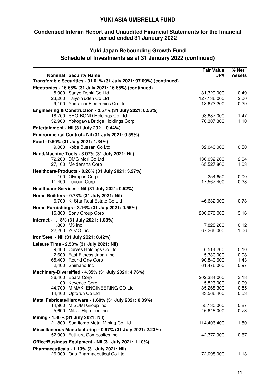# **Condensed Interim Report and Unaudited Financial Statements for the financial period ended 31 January 2022**

# **Yuki Japan Rebounding Growth Fund Schedule of Investments as at 31 January 2022 (continued)**

| <b>Nominal Security Name</b>                                             | <b>Fair Value</b><br><b>JP¥</b> | % Net<br><b>Assets</b> |
|--------------------------------------------------------------------------|---------------------------------|------------------------|
| Transferable Securities - 91.01% (31 July 2021: 97.09%) (continued)      |                                 |                        |
| Electronics - 16.65% (31 July 2021: 16.65%) (continued)                  |                                 |                        |
| 5,900 Sanyo Denki Co Ltd                                                 | 31,329,000                      | 0.49                   |
| 23,200 Taiyo Yuden Co Ltd                                                | 127,136,000                     | 2.00                   |
| 9,100 Yamaichi Electronics Co Ltd                                        | 18,673,200                      | 0.29                   |
| Engineering & Construction - 2.57% (31 July 2021: 0.56%)                 |                                 |                        |
| 18,700 SHO-BOND Holdings Co Ltd                                          | 93,687,000                      | 1.47                   |
| 32,900 Yokogawa Bridge Holdings Corp                                     | 70,307,300                      | 1.10                   |
| Entertainment - Nil (31 July 2021: 0.44%)                                |                                 |                        |
| Environmental Control - Nil (31 July 2021: 0.59%)                        |                                 |                        |
| Food - 0.50% (31 July 2021: 1.34%)                                       |                                 |                        |
| 9,000 Kobe Bussan Co Ltd                                                 | 32,040,000                      | 0.50                   |
| Hand/Machine Tools - 3.07% (31 July 2021: Nil)                           |                                 |                        |
| 72,200 DMG Mori Co Ltd                                                   | 130,032,200                     | 2.04                   |
| 27,100 Meidensha Corp                                                    | 65,527,800                      | 1.03                   |
| Healthcare-Products - 0.28% (31 July 2021: 3.27%)                        |                                 |                        |
| 100 Olympus Corp                                                         | 254,650                         | 0.00                   |
| 11,400 Topcon Corp                                                       | 17,567,400                      | 0.28                   |
| Healthcare-Services - Nil (31 July 2021: 0.52%)                          |                                 |                        |
| Home Builders - 0.73% (31 July 2021: Nil)                                |                                 |                        |
| 6,700 Ki-Star Real Estate Co Ltd                                         | 46,632,000                      | 0.73                   |
| Home Furnishings - 3.16% (31 July 2021: 0.56%)                           |                                 |                        |
| 15,800 Sony Group Corp                                                   | 200,976,000                     | 3.16                   |
| Internet - 1.18% (31 July 2021: 1.03%)                                   |                                 |                        |
| 1,800 M3 Inc                                                             | 7,828,200                       | 0.12                   |
| 22,200 ZOZO Inc                                                          | 67,266,000                      | 1.06                   |
| Iron/Steel - Nil (31 July 2021: 0.42%)                                   |                                 |                        |
| Leisure Time - 2.58% (31 July 2021: Nil)                                 |                                 |                        |
| 9,400 Curves Holdings Co Ltd                                             | 6,514,200                       | 0.10                   |
| 2,600 Fast Fitness Japan Inc                                             | 5,330,000                       | 0.08                   |
| 65,400 Round One Corp<br>2,400 Shimano Inc                               | 90,840,600<br>61,476,000        | 1.43<br>0.97           |
|                                                                          |                                 |                        |
| Machinery-Diversified - 4.35% (31 July 2021: 4.76%)<br>36,400 Ebara Corp | 202,384,000                     | 3.18                   |
| 100 Keyence Corp                                                         | 5,823,000                       | 0.09                   |
| 44,700 MIMAKI ENGINEERING CO Ltd                                         | 35,268,300                      | 0.55                   |
| 14,400 Optorun Co Ltd                                                    | 33,566,400                      | 0.53                   |
| Metal Fabricate/Hardware - 1.60% (31 July 2021: 0.89%)                   |                                 |                        |
| 14,900 MISUMI Group Inc                                                  | 55,130,000                      | 0.87                   |
| 5,600 Mitsui High-Tec Inc                                                | 46,648,000                      | 0.73                   |
| Mining - 1.80% (31 July 2021: Nil)                                       |                                 |                        |
| 21,800 Sumitomo Metal Mining Co Ltd                                      | 114,406,400                     | 1.80                   |
| Miscellaneous Manufacturing - 0.67% (31 July 2021: 2.23%)                |                                 |                        |
| 52,900 Fujikura Composites Inc                                           | 42,372,900                      | 0.67                   |
| Office/Business Equipment - Nil (31 July 2021: 1.10%)                    |                                 |                        |
| Pharmaceuticals - 1.13% (31 July 2021: Nil)                              |                                 |                        |
| 26,000 Ono Pharmaceutical Co Ltd                                         | 72,098,000                      | 1.13                   |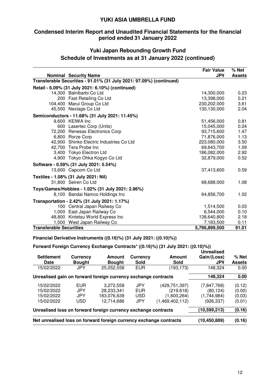# **Condensed Interim Report and Unaudited Financial Statements for the financial period ended 31 January 2022**

# **Yuki Japan Rebounding Growth Fund Schedule of Investments as at 31 January 2022 (continued)**

|                                | <b>Nominal Security Name</b>                                        | <b>Fair Value</b><br><b>JP¥</b> | % Net<br><b>Assets</b> |
|--------------------------------|---------------------------------------------------------------------|---------------------------------|------------------------|
|                                | Transferable Securities - 91.01% (31 July 2021: 97.09%) (continued) |                                 |                        |
|                                | Retail - 6.09% (31 July 2021: 6.10%) (continued)                    |                                 |                        |
|                                | 14,300 Balnibarbi Co Ltd                                            | 14,300,000                      | 0.23                   |
|                                | 200 Fast Retailing Co Ltd                                           | 13,398,000                      | 0.21                   |
|                                | 104,400 Marui Group Co Ltd                                          | 230,202,000                     | 3.61                   |
|                                | 45,500 Nextage Co Ltd                                               | 130,130,000                     | 2.04                   |
|                                | Semiconductors - 11.68% (31 July 2021: 11.45%)                      |                                 |                        |
|                                | 9,600 KEIWA Inc                                                     | 51,456,000                      | 0.81                   |
|                                | 600 Lasertec Corp (Units)                                           | 15,045,000                      | 0.24                   |
|                                | 72,200 Renesas Electronics Corp                                     | 93,715,600                      | 1.47                   |
|                                | 6,800 Rorze Corp                                                    | 71,876,000                      | 1.13                   |
|                                | 42,900 Shinko Electric Industries Co Ltd                            | 223,080,000                     | 3.50                   |
|                                | 42,700 Tera Probe Inc                                               | 69,643,700                      | 1.09                   |
|                                | 3,400 Tokyo Electron Ltd                                            | 186,082,000                     | 2.92                   |
|                                | 4,900 Tokyo Ohka Kogyo Co Ltd                                       | 32,879,000                      | 0.52                   |
|                                | Software - 0.59% (31 July 2021: 5.54%)                              |                                 |                        |
|                                | 13,600 Capcom Co Ltd                                                | 37,413,600                      | 0.59                   |
|                                | Textiles - 1.08% (31 July 2021: Nil)                                |                                 |                        |
|                                | 31,800 Seiren Co Ltd                                                | 68,688,000                      | 1.08                   |
|                                | Toys/Games/Hobbies - 1.02% (31 July 2021: 2.86%)                    |                                 |                        |
|                                | 8,100 Bandai Namco Holdings Inc                                     | 64,856,700                      | 1.02                   |
|                                | Transportation - 2.42% (31 July 2021: 1.17%)                        |                                 |                        |
|                                | 100 Central Japan Railway Co                                        | 1,514,500                       | 0.03                   |
|                                | 1,000 East Japan Railway Co                                         | 6,544,000                       | 0.10                   |
|                                | 48,800 Kintetsu World Express Inc                                   | 138,640,800                     | 2.18                   |
|                                | 1,500 West Japan Railway Co                                         | 7,183,500                       | 0.11                   |
| <b>Transferable Securities</b> |                                                                     | 5,796,899,500                   | 91.01                  |

**Financial Derivative Instruments ((0.16)%) (31 July 2021: ((0.10)%))** 

# **Forward Foreign Currency Exchange Contracts\* ((0.16)%) (31 July 2021: ((0.10)%))**

| <b>Settlement</b><br><b>Date</b>                                   | <b>Currency</b><br><b>Bought</b> | Amount<br><b>Bought</b> | Currency<br><b>Sold</b> | Amount<br><b>Sold</b> | <b>Unrealised</b><br>Gain/(Loss)<br><b>JP¥</b> | $%$ Net<br><b>Assets</b> |
|--------------------------------------------------------------------|----------------------------------|-------------------------|-------------------------|-----------------------|------------------------------------------------|--------------------------|
| 15/02/2022                                                         | <b>JPY</b>                       | 25,052,558              | <b>EUR</b>              | (193, 173)            | 148,324                                        | 0.00                     |
| Unrealised gain on forward foreign currency exchange contracts     |                                  |                         |                         |                       | 148,324                                        | 0.00                     |
| 15/02/2022                                                         | <b>EUR</b>                       | 3,272,558               | <b>JPY</b>              | (429,751,397)         | (7, 847, 768)                                  | (0.12)                   |
| 15/02/2022                                                         | <b>JPY</b>                       | 28,233,341              | <b>EUR</b>              | (219, 618)            | (80, 124)                                      | (0.00)                   |
| 15/02/2022                                                         | JPY                              | 183,076,639             | <b>USD</b>              | (1,600,264)           | (1,744,984)                                    | (0.03)                   |
| 15/02/2022                                                         | <b>USD</b>                       | 12,714,686              | <b>JPY</b>              | (1,469,402,112)       | (926, 337)                                     | (0.01)                   |
| Unrealised loss on forward foreign currency exchange contracts     |                                  |                         |                         |                       | (10, 599, 213)                                 | (0.16)                   |
| Net unrealised loss on forward foreign currency exchange contracts |                                  |                         |                         |                       | (10,450,889)                                   | (0.16)                   |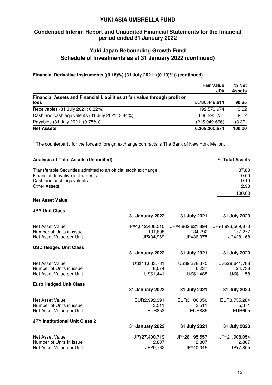# **Condensed Interim Report and Unaudited Financial Statements for the financial period ended 31 January 2022**

# **Yuki Japan Rebounding Growth Fund Schedule of Investments as at 31 January 2022 (continued)**

## **Financial Derivative Instruments ((0.16)%) (31 July 2021: ((0.10)%)) (continued)**

|                                                                            | <b>Fair Value</b><br><b>JP¥</b> | % Net<br><b>Assets</b> |
|----------------------------------------------------------------------------|---------------------------------|------------------------|
| Financial Assets and Financial Liabilities at fair value through profit or |                                 |                        |
| <b>loss</b>                                                                | 5,786,448,611                   | 90.85                  |
| Receivables (31 July 2021: 0.32%)                                          | 192,570,974                     | 3.02                   |
| Cash and cash equivalents (31 July 2021: 3.44%)                            | 606,390,755                     | 9.52                   |
| Payables (31 July 2021: (0.75%))                                           | (216,049,666)                   | (3.39)                 |
| <b>Net Assets</b>                                                          | 6,369,360,674                   | 100.00                 |

\* The counterparty for the forward foreign exchange contracts is The Bank of New York Mellon.

| <b>Analysis of Total Assets (Unaudited)</b>                                                                                                            |                                          |                                          | % Total Assets                           |
|--------------------------------------------------------------------------------------------------------------------------------------------------------|------------------------------------------|------------------------------------------|------------------------------------------|
| Transferable Securities admitted to an official stock exchange<br>Financial derivative instruments<br>Cash and cash equivalents<br><b>Other Assets</b> |                                          |                                          | 87.88<br>0.00<br>9.19<br>2.93            |
| <b>Net Asset Value</b>                                                                                                                                 |                                          |                                          | 100.00                                   |
| <b>JPY Unit Class</b>                                                                                                                                  |                                          |                                          |                                          |
|                                                                                                                                                        | <b>31 January 2022</b>                   | 31 July 2021                             | 31 July 2020                             |
| Net Asset Value<br>Number of Units in issue<br>Net Asset Value per Unit                                                                                | JP¥4,612,406,510<br>131,898<br>JP¥34,969 | JP¥4,862,621,894<br>134,792<br>JP¥36,075 | JP¥4,993,569,870<br>177,277<br>JP¥28,168 |
| <b>USD Hedged Unit Class</b>                                                                                                                           | <b>31 January 2022</b>                   | 31 July 2021                             | 31 July 2020                             |
| Net Asset Value<br>Number of Units in issue<br>Net Asset Value per Unit                                                                                | US\$11,633,731<br>8,074<br>US\$1,441     | US\$9,278,375<br>6,237<br>US\$1,488      | US\$28,641,788<br>24,738<br>US\$1,158    |
| <b>Euro Hedged Unit Class</b>                                                                                                                          |                                          |                                          |                                          |
|                                                                                                                                                        | <b>31 January 2022</b>                   | 31 July 2021                             | 31 July 2020                             |
| Net Asset Value<br>Number of Units in issue<br>Net Asset Value per Unit                                                                                | EUR2,992,991<br>3,511<br><b>EUR853</b>   | EUR3,106,050<br>3,511<br><b>EUR885</b>   | EUR3,735,284<br>5,371<br><b>EUR695</b>   |
| <b>JPY Institutional Unit Class 2</b>                                                                                                                  |                                          |                                          |                                          |
|                                                                                                                                                        | <b>31 January 2022</b>                   | 31 July 2021                             | 31 July 2020                             |
| Net Asset Value<br>Number of Units in issue<br>Net Asset Value per Unit                                                                                | JP¥27,400,719<br>2,807<br>JP¥9,762       | JP¥28,195,557<br>2,807<br>JP¥10,045      | JP¥21,908,054<br>2,807<br>JP¥7,805       |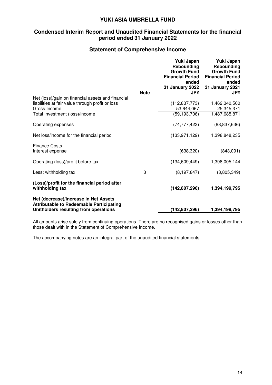# **Condensed Interim Report and Unaudited Financial Statements for the financial period ended 31 January 2022**

# **Statement of Comprehensive Income**

|                                                                                                                                   | <b>Note</b> | Yuki Japan<br>Rebounding<br><b>Growth Fund</b><br><b>Financial Period</b><br>ended<br>31 January 2022<br><b>JP¥</b> | Yuki Japan<br>Rebounding<br><b>Growth Fund</b><br><b>Financial Period</b><br>ended<br><b>31 January 2021</b><br><b>JP¥</b> |
|-----------------------------------------------------------------------------------------------------------------------------------|-------------|---------------------------------------------------------------------------------------------------------------------|----------------------------------------------------------------------------------------------------------------------------|
| Net (loss)/gain on financial assets and financial                                                                                 |             | (112, 837, 773)                                                                                                     | 1,462,340,500                                                                                                              |
| liabilities at fair value through profit or loss<br>Gross Income                                                                  |             | 53,644,067                                                                                                          | 25,345,371                                                                                                                 |
| Total Investment (loss)/income                                                                                                    |             | (59, 193, 706)                                                                                                      | 1,487,685,871                                                                                                              |
| Operating expenses                                                                                                                |             | (74, 777, 423)                                                                                                      | (88, 837, 636)                                                                                                             |
| Net loss/income for the financial period                                                                                          |             | (133, 971, 129)                                                                                                     | 1,398,848,235                                                                                                              |
| <b>Finance Costs</b><br>Interest expense                                                                                          |             | (638, 320)                                                                                                          | (843,091)                                                                                                                  |
| Operating (loss)/profit before tax                                                                                                |             | (134, 609, 449)                                                                                                     | 1,398,005,144                                                                                                              |
| Less: withholding tax                                                                                                             | 3           | (8, 197, 847)                                                                                                       | (3,805,349)                                                                                                                |
| (Loss)/profit for the financial period after<br>withholding tax                                                                   |             | (142, 807, 296)                                                                                                     | 1,394,199,795                                                                                                              |
| Net (decrease)/increase in Net Assets<br><b>Attributable to Redeemable Participating</b><br>Unitholders resulting from operations |             | (142,807,296)                                                                                                       | 1,394,199,795                                                                                                              |

All amounts arise solely from continuing operations. There are no recognised gains or losses other than those dealt with in the Statement of Comprehensive Income.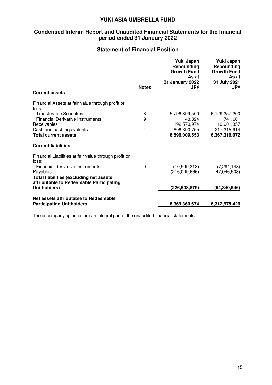# **Condensed Interim Report and Unaudited Financial Statements for the financial period ended 31 January 2022**

# **Statement of Financial Position**

|                                                                                             | <b>Notes</b> | Yuki Japan<br>Rebounding<br><b>Growth Fund</b><br>As at<br>31 January 2022<br><b>JP¥</b> | Yuki Japan<br>Rebounding<br><b>Growth Fund</b><br>As at<br>31 July 2021<br><b>JP¥</b> |
|---------------------------------------------------------------------------------------------|--------------|------------------------------------------------------------------------------------------|---------------------------------------------------------------------------------------|
| <b>Current assets</b>                                                                       |              |                                                                                          |                                                                                       |
| Financial Assets at fair value through profit or<br>loss:                                   |              |                                                                                          |                                                                                       |
| <b>Transferable Securities</b>                                                              | 8            | 5,796,899,500                                                                            | 6,129,357,200                                                                         |
| <b>Financial Derivative Instruments</b>                                                     | 9            | 148,324                                                                                  | 741,601                                                                               |
| Receivables                                                                                 |              | 192,570,974                                                                              | 19,901,357                                                                            |
| Cash and cash equivalents                                                                   | 4            | 606,390,755                                                                              | 217,315,914                                                                           |
| <b>Total current assets</b>                                                                 |              | 6,596,009,553                                                                            | 6,367,316,072                                                                         |
| <b>Current liabilities</b>                                                                  |              |                                                                                          |                                                                                       |
| Financial Liabilities at fair value through profit or<br>loss:                              |              |                                                                                          |                                                                                       |
| Financial derivative instruments                                                            | 9            | (10, 599, 213)                                                                           | (7, 294, 143)                                                                         |
| Payables                                                                                    |              | (216, 049, 666)                                                                          | (47,046,503)                                                                          |
| <b>Total liabilities (excluding net assets)</b><br>attributable to Redeemable Participating |              |                                                                                          |                                                                                       |
| Unitholders)                                                                                |              | (226,648,879)                                                                            | (54,340,646)                                                                          |
| Net assets attributable to Redeemable                                                       |              |                                                                                          |                                                                                       |
| <b>Participating Unitholders</b>                                                            |              | 6,369,360,674                                                                            | 6,312,975,426                                                                         |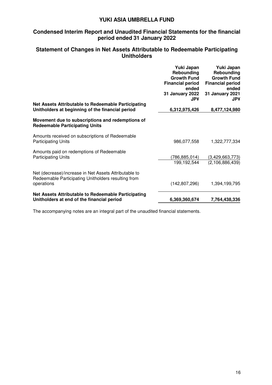# **Condensed Interim Report and Unaudited Financial Statements for the financial period ended 31 January 2022**

# **Statement of Changes in Net Assets Attributable to Redeemable Participating Unitholders**

|                                                                                                                            | Yuki Japan<br>Rebounding<br><b>Growth Fund</b><br><b>Financial period</b><br>ended<br>31 January 2022<br><b>JP¥</b> | Yuki Japan<br>Rebounding<br><b>Growth Fund</b><br><b>Financial period</b><br>ended<br><b>31 January 2021</b><br><b>JP¥</b> |
|----------------------------------------------------------------------------------------------------------------------------|---------------------------------------------------------------------------------------------------------------------|----------------------------------------------------------------------------------------------------------------------------|
| Net Assets Attributable to Redeemable Participating<br>Unitholders at beginning of the financial period                    | 6,312,975,426                                                                                                       | 8,477,124,980                                                                                                              |
| Movement due to subscriptions and redemptions of<br><b>Redeemable Participating Units</b>                                  |                                                                                                                     |                                                                                                                            |
| Amounts received on subscriptions of Redeemable<br><b>Participating Units</b>                                              | 986,077,558                                                                                                         | 1,322,777,334                                                                                                              |
| Amounts paid on redemptions of Redeemable<br><b>Participating Units</b>                                                    | (786,885,014)<br>199,192,544                                                                                        | (3,429,663,773)<br>(2, 106, 886, 439)                                                                                      |
| Net (decrease)/increase in Net Assets Attributable to<br>Redeemable Participating Unitholders resulting from<br>operations | (142, 807, 296)                                                                                                     | 1,394,199,795                                                                                                              |
| Net Assets Attributable to Redeemable Participating<br>Unitholders at end of the financial period                          | 6,369,360,674                                                                                                       | 7,764,438,336                                                                                                              |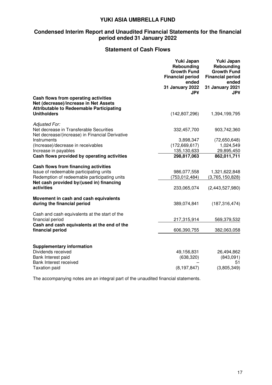# **Condensed Interim Report and Unaudited Financial Statements for the financial period ended 31 January 2022**

# **Statement of Cash Flows**

|                                                                                                                                  | Yuki Japan<br>Rebounding<br><b>Growth Fund</b><br><b>Financial period</b><br>ended | Yuki Japan<br>Rebounding<br><b>Growth Fund</b><br><b>Financial period</b><br>ended |
|----------------------------------------------------------------------------------------------------------------------------------|------------------------------------------------------------------------------------|------------------------------------------------------------------------------------|
|                                                                                                                                  | <b>31 January 2022</b><br><b>JP¥</b>                                               | 31 January 2021<br><b>JP¥</b>                                                      |
| Cash flows from operating activities<br>Net (decrease)/increase in Net Assets<br><b>Attributable to Redeemable Participating</b> |                                                                                    |                                                                                    |
| <b>Unitholders</b>                                                                                                               | (142, 807, 296)                                                                    | 1,394,199,795                                                                      |
| <b>Adjusted For.</b><br>Net decrease in Transferable Securities                                                                  | 332,457,700                                                                        | 903,742,360                                                                        |
| Net decrease/(increase) in Financial Derivative                                                                                  |                                                                                    |                                                                                    |
| Instruments                                                                                                                      | 3,898,347                                                                          | (72,650,648)                                                                       |
| (Increase)/decrease in receivables                                                                                               | (172, 669, 617)                                                                    | 1,024,549                                                                          |
| Increase in payables                                                                                                             | 135,130,633                                                                        | 29,895,450                                                                         |
| Cash flows provided by operating activities                                                                                      | 298,817,063                                                                        | 862,011,711                                                                        |
| Cash flows from financing activities                                                                                             |                                                                                    |                                                                                    |
| Issue of redeemable participating units                                                                                          | 986,077,558                                                                        | 1,321,622,848                                                                      |
| Redemption of redeemable participating units                                                                                     | (753,012,484)                                                                      | (3,765,150,828)                                                                    |
| Net cash provided by/(used in) financing<br>activities                                                                           | 233,065,074                                                                        | (2,443,527,980)                                                                    |
| Movement in cash and cash equivalents<br>during the financial period                                                             | 389,074,841                                                                        | (187, 316, 474)                                                                    |
| Cash and cash equivalents at the start of the<br>financial period                                                                | 217,315,914                                                                        | 569,379,532                                                                        |
| Cash and cash equivalents at the end of the<br>financial period                                                                  | 606,390,755                                                                        | 382,063,058                                                                        |
|                                                                                                                                  |                                                                                    |                                                                                    |
| <b>Supplementary information</b>                                                                                                 |                                                                                    |                                                                                    |
| Dividends received                                                                                                               | 49,156,831                                                                         | 26,494,862                                                                         |
| Bank Interest paid<br><b>Bank Interest received</b>                                                                              | (638, 320)                                                                         | (843,091)<br>51                                                                    |
| <b>Taxation paid</b>                                                                                                             | (8, 197, 847)                                                                      | (3,805,349)                                                                        |
|                                                                                                                                  |                                                                                    |                                                                                    |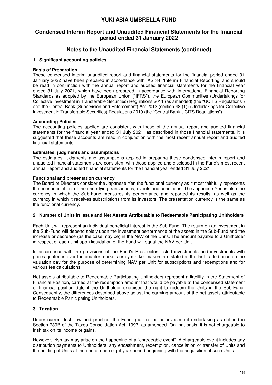# **Condensed Interim Report and Unaudited Financial Statements for the financial period ended 31 January 2022**

# **Notes to the Unaudited Financial Statements (continued)**

#### **1. Significant accounting policies**

#### **Basis of Preparation**

These condensed interim unaudited report and financial statements for the financial period ended 31 January 2022 have been prepared in accordance with IAS 34, 'Interim Financial Reporting' and should be read in conjunction with the annual report and audited financial statements for the financial year ended 31 July 2021, which have been prepared in accordance with International Financial Reporting Standards as adopted by the European Union ("IFRS"), the European Communities (Undertakings for Collective Investment in Transferable Securities) Regulations 2011 (as amended) (the "UCITS Regulations") and the Central Bank (Supervision and Enforcement) Act 2013 (section 48 (1)) (Undertakings for Collective Investment in Transferable Securities) Regulations 2019 (the "Central Bank UCITS Regulations").

#### **Accounting Policies**

The accounting policies applied are consistent with those of the annual report and audited financial statements for the financial year ended 31 July 2021, as described in those financial statements. It is suggested that these accounts are read in conjunction with the most recent annual report and audited financial statements.

#### **Estimates, judgments and assumptions**

The estimates, judgments and assumptions applied in preparing these condensed interim report and unaudited financial statements are consistent with those applied and disclosed in the Fund's most recent annual report and audited financial statements for the financial year ended 31 July 2021.

#### **Functional and presentation currency**

The Board of Directors consider the Japanese Yen the functional currency as it most faithfully represents the economic effect of the underlying transactions, events and conditions. The Japanese Yen is also the currency in which the Sub-Fund measures its performance and reported its results, as well as the currency in which it receives subscriptions from its investors. The presentation currency is the same as the functional currency.

#### **2. Number of Units in Issue and Net Assets Attributable to Redeemable Participating Unitholders**

Each Unit will represent an individual beneficial interest in the Sub-Fund. The return on an investment in the Sub-Fund will depend solely upon the investment performance of the assets in the Sub-Fund and the increase or decrease (as the case may be) in the NAV of the Units. The amount payable to a Unitholder in respect of each Unit upon liquidation of the Fund will equal the NAV per Unit.

In accordance with the provisions of the Fund's Prospectus, listed investments and investments with prices quoted in over the counter markets or by market makers are stated at the last traded price on the valuation day for the purpose of determining NAV per Unit for subscriptions and redemptions and for various fee calculations.

Net assets attributable to Redeemable Participating Unitholders represent a liability in the Statement of Financial Position, carried at the redemption amount that would be payable at the condensed statement of financial position date if the Unitholder exercised the right to redeem the Units in the Sub-Fund. Consequently, the differences described above adjust the carrying amount of the net assets attributable to Redeemable Participating Unitholders.

#### **3. Taxation**

Under current Irish law and practice, the Fund qualifies as an investment undertaking as defined in Section 739B of the Taxes Consolidation Act, 1997, as amended. On that basis, it is not chargeable to Irish tax on its income or gains.

However, Irish tax may arise on the happening of a "chargeable event". A chargeable event includes any distribution payments to Unitholders, any encashment, redemption, cancellation or transfer of Units and the holding of Units at the end of each eight year period beginning with the acquisition of such Units.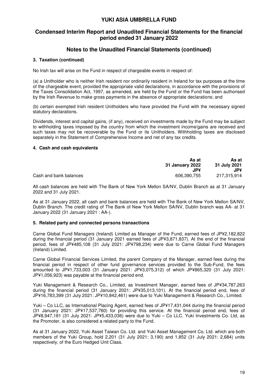# **Condensed Interim Report and Unaudited Financial Statements for the financial period ended 31 January 2022**

# **Notes to the Unaudited Financial Statements (continued)**

#### **3. Taxation (continued)**

No Irish tax will arise on the Fund in respect of chargeable events in respect of:

(a) a Unitholder who is neither Irish resident nor ordinarily resident in Ireland for tax purposes at the time of the chargeable event, provided the appropriate valid declarations, in accordance with the provisions of the Taxes Consolidation Act, 1997, as amended, are held by the Fund or the Fund has been authorised by the Irish Revenue to make gross payments in the absence of appropriate declarations; and

(b) certain exempted Irish resident Unitholders who have provided the Fund with the necessary signed statutory declarations.

Dividends, interest and capital gains, (if any), received on investments made by the Fund may be subject to withholding taxes imposed by the country from which the investment income/gains are received and such taxes may not be recoverable by the Fund or its Unitholders. Withholding taxes are disclosed separately in the Statement of Comprehensive Income and net of any tax credits.

#### **4. Cash and cash equivalents**

|                        | As at           | As at        |
|------------------------|-----------------|--------------|
|                        | 31 January 2022 | 31 July 2021 |
|                        | .JP¥            | JP¥          |
| Cash and bank balances | 606,390,755     | 217,315,914  |

All cash balances are held with The Bank of New York Mellon SA/NV, Dublin Branch as at 31 January 2022 and 31 July 2021.

As at 31 January 2022, all cash and bank balances are held with The Bank of New York Mellon SA/NV, Dublin Branch. The credit rating of The Bank of New York Mellon SA/NV, Dublin branch was AA- at 31 January 2022 (31 January 2021 : AA-).

#### **5. Related party and connected persons transactions**

Carne Global Fund Managers (Ireland) Limited as Manager of the Fund, earned fees of JP¥2,182,822 during the financial period (31 January 2021 earned fees of JP¥3,871,837). At the end of the financial period, fees of JP¥485,108 (31 July 2021: JP¥798,234) were due to Carne Global Fund Managers (Ireland) Limited.

Carne Global Financial Services Limited, the parent Company of the Manager, earned fees during the financial period in respect of other fund governance services provided to the Sub-Fund, the fees amounted to JP¥1,733,003 (31 January 2021: JP¥3,075,312) of which JP¥865,320 (31 July 2021: JP¥1,056,923) was payable at the financial period end.

Yuki Management & Research Co., Limited, as Investment Manager, earned fees of JP¥34,787,263 during the financial period (31 January 2021: JP¥35,013,101). At the financial period end, fees of JP¥16,783,399 (31 July 2021: JP¥10,842,461) were due to Yuki Management & Research Co., Limited.

Yuki – Co LLC, as International Placing Agent, earned fees of JP¥17,431,044 during the financial period (31 January 2021: JP¥17,537,760) for providing this service. At the financial period end, fees of JP¥8,947,181 (31 July 2021: JP¥5,433,036) were due to Yuki – Co LLC. Yuki Investments Co. Ltd, as the Promoter, is also considered a related party to the Fund.

As at 31 January 2022, Yuki Asset Taiwan Co. Ltd. and Yuki Asset Management Co. Ltd. which are both members of the Yuki Group, hold 2,201 (31 July 2021: 3,190) and 1,852 (31 July 2021: 2,684) units respectively, of the Euro Hedged Unit Class.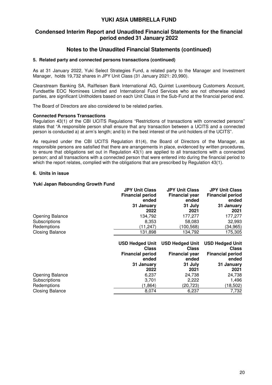# **Condensed Interim Report and Unaudited Financial Statements for the financial period ended 31 January 2022**

# **Notes to the Unaudited Financial Statements (continued)**

#### **5. Related party and connected persons transactions (continued)**

As at 31 January 2022, Yuki Select Strategies Fund, a related party to the Manager and Investment Manager, holds 19,732 shares in JPY Unit Class (31 January 2021: 20,990).

Clearstream Banking SA, Raiffeisen Bank International AG, Quintet Luxembourg Customers Account, Fundsettle EOC Nominees Limited and International Fund Services who are not otherwise related parties, are significant Unitholders based on each Unit Class in the Sub-Fund at the financial period end.

The Board of Directors are also considered to be related parties.

#### **Connected Persons Transactions**

Regulation 43(1) of the CBI UCITS Regulations "Restrictions of transactions with connected persons" states that "A responsible person shall ensure that any transaction between a UCITS and a connected person is conducted a) at arm's length; and b) in the best interest of the unit-holders of the UCITS".

As required under the CBI UCITS Regulation 81(4), the Board of Directors of the Manager, as responsible persons are satisfied that there are arrangements in place, evidenced by written procedures, to ensure that obligations set out in Regulation 43(1) are applied to all transactions with a connected person; and all transactions with a connected person that were entered into during the financial period to which the report relates, complied with the obligations that are prescribed by Regulation 43(1).

#### **6. Units in issue**

#### **Yuki Japan Rebounding Growth Fund**

|                        | <b>JPY Unit Class</b><br><b>Financial period</b><br>ended | <b>JPY Unit Class</b><br><b>Financial year</b><br>ended | <b>JPY Unit Class</b><br><b>Financial period</b><br>ended |
|------------------------|-----------------------------------------------------------|---------------------------------------------------------|-----------------------------------------------------------|
|                        | 31 January                                                | 31 July                                                 | 31 January                                                |
|                        | 2022                                                      | 2021                                                    | 2021                                                      |
| <b>Opening Balance</b> | 134,792                                                   | 177,277                                                 | 177,277                                                   |
| Subscriptions          | 8,353                                                     | 58,083                                                  | 32,993                                                    |
| Redemptions            | (11,247)                                                  | (100, 568)                                              | (34,965)                                                  |
| <b>Closing Balance</b> | 131,898                                                   | 134,792                                                 | 175,305                                                   |
|                        |                                                           |                                                         |                                                           |
|                        |                                                           |                                                         |                                                           |
|                        | <b>USD Hedged Unit</b>                                    | <b>USD Hedged Unit</b>                                  | <b>USD Hedged Unit</b>                                    |
|                        | <b>Class</b>                                              | <b>Class</b>                                            | <b>Class</b>                                              |
|                        | <b>Financial period</b>                                   | <b>Financial year</b>                                   | <b>Financial period</b>                                   |
|                        | ended                                                     | ended                                                   | ended                                                     |
|                        | 31 January                                                | 31 July                                                 | 31 January                                                |
|                        | 2022                                                      | 2021                                                    | 2021                                                      |
| <b>Opening Balance</b> | 6,237                                                     | 24,738                                                  | 24,738                                                    |
| Subscriptions          | 3,701                                                     | 2,222                                                   | 1,496                                                     |
| Redemptions            | (1, 864)                                                  | (20, 723)                                               | (18, 502)                                                 |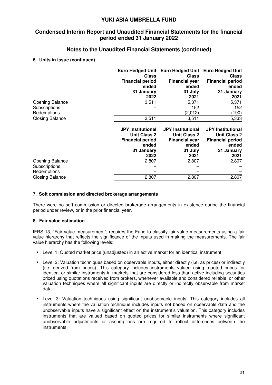# **Condensed Interim Report and Unaudited Financial Statements for the financial period ended 31 January 2022**

# **Notes to the Unaudited Financial Statements (continued)**

#### **6. Units in issue (continued)**

|                        | <b>Euro Hedged Unit</b><br><b>Class</b>                                             | <b>Euro Hedged Unit</b><br><b>Class</b>                                           | <b>Euro Hedged Unit</b><br><b>Class</b>                                             |
|------------------------|-------------------------------------------------------------------------------------|-----------------------------------------------------------------------------------|-------------------------------------------------------------------------------------|
|                        | <b>Financial period</b>                                                             | <b>Financial year</b>                                                             | <b>Financial period</b>                                                             |
|                        | ended                                                                               | ended                                                                             | ended                                                                               |
|                        | 31 January                                                                          | 31 July                                                                           | 31 January                                                                          |
|                        | 2022                                                                                | 2021                                                                              | 2021                                                                                |
| <b>Opening Balance</b> | 3,511                                                                               | 5,371                                                                             | 5,371                                                                               |
| Subscriptions          |                                                                                     | 152                                                                               | 152                                                                                 |
| Redemptions            |                                                                                     | (2,012)                                                                           | (190)                                                                               |
| <b>Closing Balance</b> | 3,511                                                                               | 3,511                                                                             | 5,333                                                                               |
|                        |                                                                                     |                                                                                   |                                                                                     |
|                        | <b>JPY Institutional</b><br><b>Unit Class 2</b><br><b>Financial period</b><br>ended | <b>JPY Institutional</b><br><b>Unit Class 2</b><br><b>Financial year</b><br>ended | <b>JPY Institutional</b><br><b>Unit Class 2</b><br><b>Financial period</b><br>ended |
|                        |                                                                                     | 31 July                                                                           |                                                                                     |
|                        | 31 January<br>2022                                                                  | 2021                                                                              | 31 January<br>2021                                                                  |
| <b>Opening Balance</b> | 2,807                                                                               | 2,807                                                                             | 2,807                                                                               |
| Subscriptions          |                                                                                     |                                                                                   |                                                                                     |
| Redemptions            |                                                                                     |                                                                                   |                                                                                     |

#### **7. Soft commission and directed brokerage arrangements**

There were no soft commission or directed brokerage arrangements in existence during the financial period under review, or in the prior financial year.

#### **8. Fair value estimation**

IFRS 13, "Fair value measurement", requires the Fund to classify fair value measurements using a fair value hierarchy that reflects the significance of the inputs used in making the measurements. The fair value hierarchy has the following levels:

- Level 1: Quoted market price (unadjusted) in an active market for an identical instrument.
- Level 2: Valuation techniques based on observable inputs, either directly (i.e. as prices) or indirectly (i.e. derived from prices). This category includes instruments valued using: quoted prices for identical or similar instruments in markets that are considered less than active including securities priced using quotations received from brokers, whenever available and considered reliable; or other valuation techniques where all significant inputs are directly or indirectly observable from market data.
- Level 3: Valuation techniques using significant unobservable inputs. This category includes all instruments where the valuation technique includes inputs not based on observable data and the unobservable inputs have a significant effect on the instrument's valuation. This category includes instruments that are valued based on quoted prices for similar instruments where significant unobservable adjustments or assumptions are required to reflect differences between the instruments.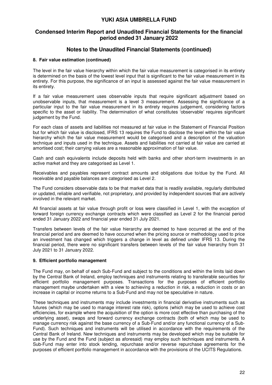# **Condensed Interim Report and Unaudited Financial Statements for the financial period ended 31 January 2022**

# **Notes to the Unaudited Financial Statements (continued)**

#### **8. Fair value estimation (continued)**

The level in the fair value hierarchy within which the fair value measurement is categorised in its entirety is determined on the basis of the lowest level input that is significant to the fair value measurement in its entirety. For this purpose, the significance of an input is assessed against the fair value measurement in its entirety.

If a fair value measurement uses observable inputs that require significant adjustment based on unobservable inputs, that measurement is a level 3 measurement. Assessing the significance of a particular input to the fair value measurement in its entirety requires judgement, considering factors specific to the asset or liability. The determination of what constitutes 'observable' requires significant judgement by the Fund.

For each class of assets and liabilities not measured at fair value in the Statement of Financial Position but for which fair value is disclosed, IFRS 13 requires the Fund to disclose the level within the fair value hierarchy which the fair value measurement would be categorised and a description of the valuation technique and inputs used in the technique. Assets and liabilities not carried at fair value are carried at amortised cost; their carrying values are a reasonable approximation of fair value.

Cash and cash equivalents include deposits held with banks and other short-term investments in an active market and they are categorised as Level 1.

Receivables and payables represent contract amounts and obligations due to/due by the Fund. All receivable and payable balances are categorised as Level 2.

The Fund considers observable data to be that market data that is readily available, regularly distributed or updated, reliable and verifiable, not proprietary, and provided by independent sources that are actively involved in the relevant market.

All financial assets at fair value through profit or loss were classified in Level 1, with the exception of forward foreign currency exchange contracts which were classified as Level 2 for the financial period ended 31 January 2022 and financial year ended 31 July 2021.

Transfers between levels of the fair value hierarchy are deemed to have occurred at the end of the financial period and are deemed to have occurred when the pricing source or methodology used to price an investment has changed which triggers a change in level as defined under IFRS 13. During the financial period, there were no significant transfers between levels of the fair value hierarchy from 31 July 2021 to 31 January 2022.

#### **9. Efficient portfolio management**

The Fund may, on behalf of each Sub-Fund and subject to the conditions and within the limits laid down by the Central Bank of Ireland, employ techniques and instruments relating to transferable securities for efficient portfolio management purposes. Transactions for the purposes of efficient portfolio management maybe undertaken with a view to achieving a reduction in risk, a reduction in costs or an increase in capital or income returns to a Sub-Fund and may not be speculative in nature.

These techniques and instruments may include investments in financial derivative instruments such as futures (which may be used to manage interest rate risk), options (which may be used to achieve cost efficiencies, for example where the acquisition of the option is more cost effective than purchasing of the underlying asset), swaps and forward currency exchange contracts (both of which may be used to manage currency risk against the base currency of a Sub-Fund and/or any functional currency of a Sub-Fund). Such techniques and instruments will be utilised in accordance with the requirements of the Central Bank of Ireland. New techniques and instruments may be developed which may be suitable for use by the Fund and the Fund (subject as aforesaid) may employ such techniques and instruments. A Sub-Fund may enter into stock lending, repurchase and/or reverse repurchase agreements for the purposes of efficient portfolio management in accordance with the provisions of the UCITS Regulations.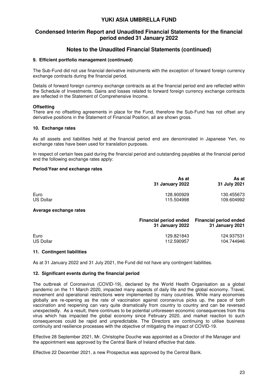# **Condensed Interim Report and Unaudited Financial Statements for the financial period ended 31 January 2022**

# **Notes to the Unaudited Financial Statements (continued)**

#### **9. Efficient portfolio management (continued)**

The Sub-Fund did not use financial derivative instruments with the exception of forward foreign currency exchange contracts during the financial period.

Details of forward foreign currency exchange contracts as at the financial period end are reflected within the Schedule of Investments. Gains and losses related to forward foreign currency exchange contracts are reflected in the Statement of Comprehensive Income.

#### **Offsetting**

There are no offsetting agreements in place for the Fund, therefore the Sub-Fund has not offset any derivative positions in the Statement of Financial Position, all are shown gross.

#### **10. Exchange rates**

As all assets and liabilities held at the financial period end are denominated in Japanese Yen, no exchange rates have been used for translation purposes.

In respect of certain fees paid during the financial period and outstanding payables at the financial period end the following exchange rates apply:

#### **Period/Year end exchange rates**

|                          | As at<br>31 January 2022                                | As at<br>31 July 2021                            |
|--------------------------|---------------------------------------------------------|--------------------------------------------------|
| Euro<br><b>US Dollar</b> | 128.900929<br>115.504998                                | 130.455673<br>109.604992                         |
| Average exchange rates   |                                                         |                                                  |
|                          | <b>Financial period ended</b><br><b>31 January 2022</b> | <b>Financial period ended</b><br>31 January 2021 |

| Euro      | 129.821843 | 124.937531 |
|-----------|------------|------------|
| US Dollar | 112.590957 | 104.744946 |

#### **11. Contingent liabilities**

As at 31 January 2022 and 31 July 2021, the Fund did not have any contingent liabilities.

#### **12. Significant events during the financial period**

The outbreak of Coronavirus (COVID-19), declared by the World Health Organisation as a global pandemic on the 11 March 2020, impacted many aspects of daily life and the global economy. Travel, movement and operational restrictions were implemented by many countries. While many economies globally are re-opening as the rate of vaccination against coronavirus picks up, the pace of both vaccination and reopening can vary quite dramatically from country to country and can be reversed unexpectedly. As a result, there continues to be potential unforeseen economic consequences from this virus which has impacted the global economy since February 2020, and market reaction to such consequences could be rapid and unpredictable. The Directors are continuing to utilise business continuity and resilience processes with the objective of mitigating the impact of COVID-19.

Effective 28 September 2021, Mr. Christophe Douche was appointed as a Director of the Manager and the appointment was approved by the Central Bank of Ireland effective that date.

Effective 22 December 2021, a new Prospectus was approved by the Central Bank.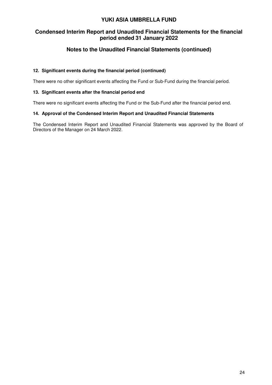# **Condensed Interim Report and Unaudited Financial Statements for the financial period ended 31 January 2022**

# **Notes to the Unaudited Financial Statements (continued)**

## **12. Significant events during the financial period (continued)**

There were no other significant events affecting the Fund or Sub-Fund during the financial period.

#### **13. Significant events after the financial period end**

There were no significant events affecting the Fund or the Sub-Fund after the financial period end.

#### **14. Approval of the Condensed Interim Report and Unaudited Financial Statements**

The Condensed Interim Report and Unaudited Financial Statements was approved by the Board of Directors of the Manager on 24 March 2022.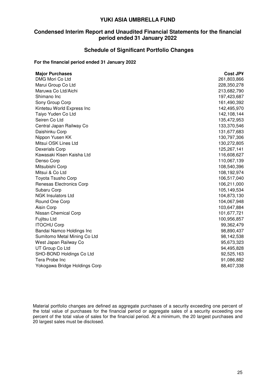# **Condensed Interim Report and Unaudited Financial Statements for the financial period ended 31 January 2022**

#### **Schedule of Significant Portfolio Changes**

#### **For the financial period ended 31 January 2022**

| <b>Major Purchases</b>        | Cost JP¥    |
|-------------------------------|-------------|
| DMG Mori Co Ltd               | 261,803,866 |
| Marui Group Co Ltd            | 228,350,278 |
| Maruwa Co Ltd/Aichi           | 213,682,790 |
| Shimano Inc                   | 197,423,687 |
| Sony Group Corp               | 161,490,392 |
| Kintetsu World Express Inc    | 142,495,970 |
| Taiyo Yuden Co Ltd            | 142,108,144 |
| Seiren Co Ltd                 | 135,472,953 |
| Central Japan Railway Co      | 133,370,546 |
| Daishinku Corp                | 131,677,683 |
| Nippon Yusen KK               | 130,797,306 |
| Mitsui OSK Lines Ltd          | 130,272,805 |
| <b>Dexerials Corp</b>         | 125,267,141 |
| Kawasaki Kisen Kaisha Ltd     | 116,608,627 |
| Denso Corp                    | 110,067,139 |
| Mitsubishi Corp               | 108,540,396 |
| Mitsui & Co Ltd               | 108,192,974 |
| <b>Toyota Tsusho Corp</b>     | 106,517,040 |
| Renesas Electronics Corp      | 106,211,000 |
| Subaru Corp                   | 105,149,534 |
| <b>NGK Insulators Ltd</b>     | 104,873,130 |
| Round One Corp                | 104,067,948 |
| Aisin Corp                    | 103,647,884 |
| Nissan Chemical Corp          | 101,677,721 |
| Fujitsu Ltd                   | 100,956,857 |
| <b>ITOCHU Corp</b>            | 99,362,479  |
| Bandai Namco Holdings Inc     | 98,890,437  |
| Sumitomo Metal Mining Co Ltd  | 98,142,538  |
| West Japan Railway Co         | 95,673,323  |
| UT Group Co Ltd               | 94,495,828  |
| SHO-BOND Holdings Co Ltd      | 92,525,163  |
| Tera Probe Inc                | 91,086,882  |
| Yokogawa Bridge Holdings Corp | 88,407,338  |

Material portfolio changes are defined as aggregate purchases of a security exceeding one percent of the total value of purchases for the financial period or aggregate sales of a security exceeding one percent of the total value of sales for the financial period. At a minimum, the 20 largest purchases and 20 largest sales must be disclosed.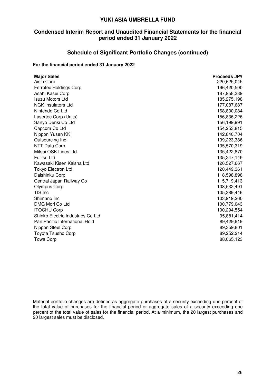# **Condensed Interim Report and Unaudited Financial Statements for the financial period ended 31 January 2022**

# **Schedule of Significant Portfolio Changes (continued)**

## **For the financial period ended 31 January 2022**

| <b>Major Sales</b>                | <b>Proceeds JP¥</b> |
|-----------------------------------|---------------------|
| Aisin Corp                        | 220,625,045         |
| <b>Ferrotec Holdings Corp</b>     | 196,420,500         |
| Asahi Kasei Corp                  | 187,958,389         |
| <b>Isuzu Motors Ltd</b>           | 185,275,198         |
| <b>NGK Insulators Ltd</b>         | 177,087,687         |
| Nintendo Co Ltd                   | 168,830,084         |
| Lasertec Corp (Units)             | 156,836,226         |
| Sanyo Denki Co Ltd                | 156,199,991         |
| Capcom Co Ltd                     | 154,253,815         |
| Nippon Yusen KK                   | 142,840,704         |
| Outsourcing Inc                   | 139,223,386         |
| <b>NTT Data Corp</b>              | 135,570,319         |
| Mitsui OSK Lines Ltd              | 135,422,870         |
| Fujitsu Ltd                       | 135,247,149         |
| Kawasaki Kisen Kaisha Ltd         | 126,527,667         |
| <b>Tokyo Electron Ltd</b>         | 120,449,361         |
| Daishinku Corp                    | 118,598,898         |
| Central Japan Railway Co          | 115,719,413         |
| <b>Olympus Corp</b>               | 108,532,491         |
| TIS Inc                           | 105,389,446         |
| Shimano Inc                       | 103,919,260         |
| DMG Mori Co Ltd                   | 100,779,043         |
| <b>ITOCHU Corp</b>                | 100,294,554         |
| Shinko Electric Industries Co Ltd | 95,881,414          |
| Pan Pacific International Hold    | 89,429,919          |
| Nippon Steel Corp                 | 89,359,801          |
| Toyota Tsusho Corp                | 89,252,214          |
| <b>Towa Corp</b>                  | 88,065,123          |

Material portfolio changes are defined as aggregate purchases of a security exceeding one percent of the total value of purchases for the financial period or aggregate sales of a security exceeding one percent of the total value of sales for the financial period. At a minimum, the 20 largest purchases and 20 largest sales must be disclosed.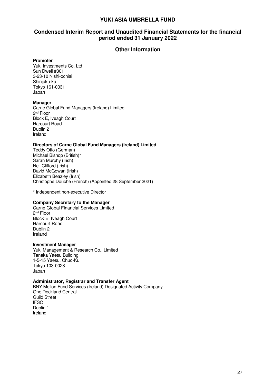# **Condensed Interim Report and Unaudited Financial Statements for the financial period ended 31 January 2022**

## **Other Information**

#### **Promoter**

Yuki Investments Co. Ltd Sun Dwell #301 3-23-10 Nishi-ochiai Shinjuku-ku Tokyo 161-0031 Japan

#### **Manager**

Carne Global Fund Managers (Ireland) Limited 2<sup>nd</sup> Floor Block E, Iveagh Court Harcourt Road Dublin 2 Ireland

#### **Directors of Carne Global Fund Managers (Ireland) Limited**

Teddy Otto (German) Michael Bishop (British)\* Sarah Murphy (Irish) Neil Clifford (Irish) David McGowan (Irish) Elizabeth Beazley (Irish) Christophe Douche (French) (Appointed 28 September 2021)

\* Independent non-executive Director

#### **Company Secretary to the Manager**

Carne Global Financial Services Limited 2<sup>nd</sup> Floor Block E, Iveagh Court Harcourt Road Dublin 2 Ireland

#### **Investment Manager**

Yuki Management & Research Co., Limited Tanaka Yaesu Building 1-5-15 Yaesu, Chuo-Ku Tokyo 103-0028 Japan

#### **Administrator, Registrar and Transfer Agent**

BNY Mellon Fund Services (Ireland) Designated Activity Company One Dockland Central Guild Street **IFSC** Dublin 1 Ireland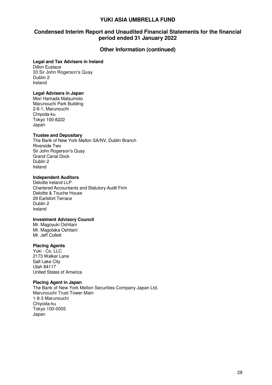# **Condensed Interim Report and Unaudited Financial Statements for the financial period ended 31 January 2022**

## **Other Information (continued)**

#### **Legal and Tax Advisers in Ireland**

Dillon Eustace 33 Sir John Rogerson's Quay Dublin 2 Ireland

#### **Legal Advisers in Japan**

Mori Hamada Matsumoto Marunouchi Park Building 2-6-1, Marunouchi Chiyoda-ku Tokyo 100-8222 Japan

#### **Trustee and Depositary**

The Bank of New York Mellon SA/NV, Dublin Branch Riverside Two Sir John Rogerson's Quay Grand Canal Dock Dublin 2 Ireland

#### **Independent Auditors**

Deloitte Ireland LLP Chartered Accountants and Statutory Audit Firm Deloitte & Touche House 29 Earlsfort Terrace Dublin 2 Ireland

#### **Investment Advisory Council**

Mr. Magoyuki Oshitani Mr. Magotaka Oshitani Mr. Jeff Collett

#### **Placing Agents**

Yuki - Co. LLC 2173 Walker Lane Salt Lake City Utah 84117 United States of America

#### **Placing Agent in Japan**

The Bank of New York Mellon Securities Company Japan Ltd. Marunouchi Trust Tower Main 1-8-3 Marunouchi Chiyoda-ku Tokyo 100-0005 Japan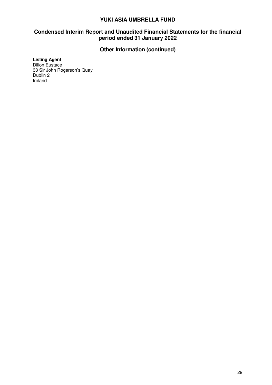# **Condensed Interim Report and Unaudited Financial Statements for the financial period ended 31 January 2022**

# **Other Information (continued)**

## **Listing Agent**

Dillon Eustace 33 Sir John Rogerson's Quay Dublin 2 Ireland